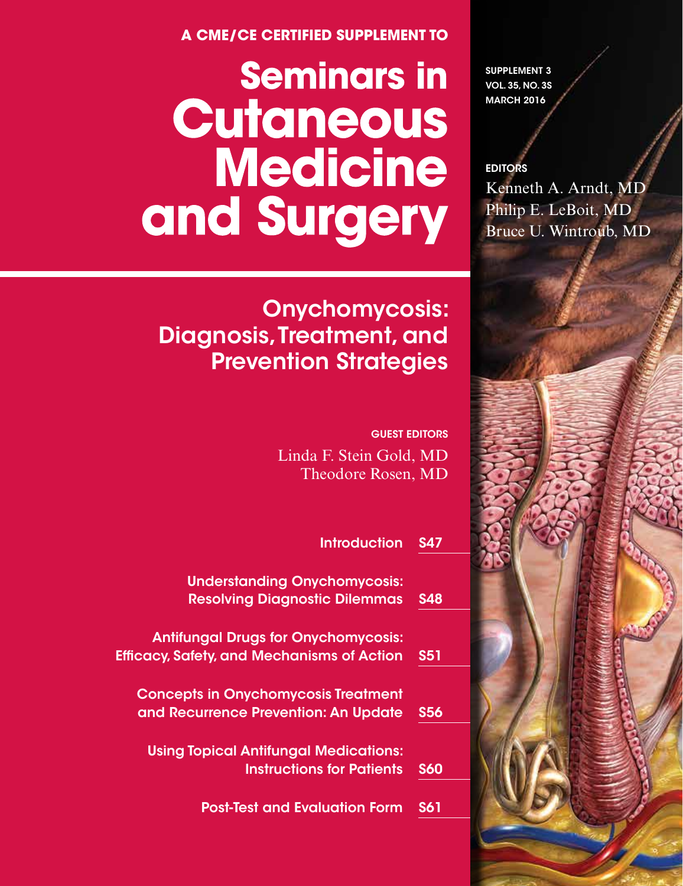**A CME/CE CERTIFIED SUPPLEMENT TO**

# **Seminars in** Cutaneous **Medicine** and Surgery

# Onychomycosis: Diagnosis, Treatment, and Prevention Strategies

GUEST EDITORS Linda F. Stein Gold, MD Theodore Rosen, MD

| <b>Introduction</b>                               | S47        |
|---------------------------------------------------|------------|
| <b>Understanding Onychomycosis:</b>               |            |
| <b>Resolving Diagnostic Dilemmas</b>              | <b>S48</b> |
| <b>Antifungal Drugs for Onychomycosis:</b>        |            |
| <b>Efficacy, Safety, and Mechanisms of Action</b> | <b>S51</b> |
| <b>Concepts in Onychomycosis Treatment</b>        |            |
| and Recurrence Prevention: An Update              | <b>S56</b> |
| <b>Using Topical Antifungal Medications:</b>      |            |
| <b>Instructions for Patients</b>                  | <b>S60</b> |
| <b>Post-Test and Evaluation Form</b>              | S61        |
|                                                   |            |

SUPPLEMENT 3 VOL. 35, NO. 3S **MARCH 2016** 

EDITORS Kenneth A. Arndt, MD Philip E. LeBoit, MD Bruce U. Wintroub, MD

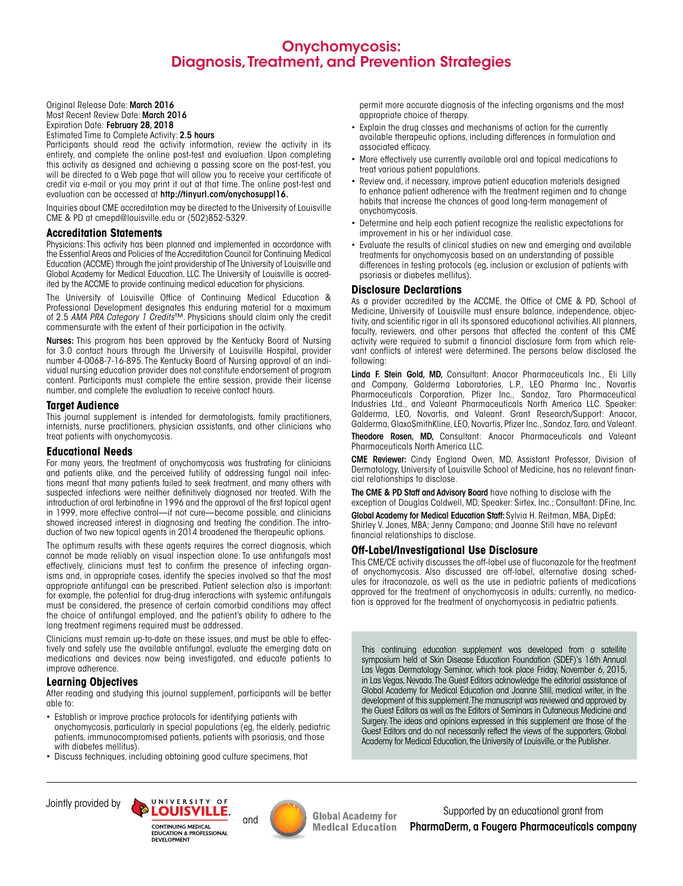## Onychomycosis: Diagnosis, Treatment, and Prevention Strategies

#### Original Release Date: March 2016 Most Recent Review Date: March 2016 Expiration Date: February 28, 2018 Estimated Time to Complete Activity: 2.5 hours

Participants should read the activity information, review the activity in its entirety, and complete the online post-test and evaluation. Upon completing this activity as designed and achieving a passing score on the post-test, you will be directed to a Web page that will allow you to receive your certificate of credit via e-mail or you may print it out at that time. The online post-test and evaluation can be accessed at http://tinyurl.com/onychosuppl16.

Inquiries about CME accreditation may be directed to the University of Louisville CME & PD at cmepd@louisville.edu or (502)852-5329.

#### **Accreditation Statements**

Physicians: This activity has been planned and implemented in accordance with the Essential Areas and Policies of the Accreditation Council for Continuing Medical Education (ACCME) through the joint providership of The University of Louisville and Global Academy for Medical Education, LLC. The University of Louisville is accredited by the ACCME to provide continuing medical education for physicians.

The University of Louisville Office of Continuing Medical Education & Professional Development designates this enduring material for a maximum of 2.5 *AMA PRA Category 1 Credits*™. Physicians should claim only the credit commensurate with the extent of their participation in the activity.

Nurses: This program has been approved by the Kentucky Board of Nursing for 3.0 contact hours through the University of Louisville Hospital, provider number 4-0068-7-16-895. The Kentucky Board of Nursing approval of an individual nursing education provider does not constitute endorsement of program content. Participants must complete the entire session, provide their license number, and complete the evaluation to receive contact hours.

#### **Target Audience**

This journal supplement is intended for dermatologists, family practitioners, internists, nurse practitioners, physician assistants, and other clinicians who treat patients with onychomycosis.

#### **Educational Needs**

For many years, the treatment of onychomycosis was frustrating for clinicians and patients alike, and the perceived futility of addressing fungal nail infections meant that many patients failed to seek treatment, and many others with suspected infections were neither definitively diagnosed nor treated. With the introduction of oral terbinafine in 1996 and the approval of the first topical agent in 1999, more effective control—if not cure—became possible, and clinicians showed increased interest in diagnosing and treating the condition. The introduction of two new topical agents in 2014 broadened the therapeutic options.

The optimum results with these agents requires the correct diagnosis, which cannot be made reliably on visual inspection alone. To use antifungals most effectively, clinicians must test to confirm the presence of infecting organisms and, in appropriate cases, identify the species involved so that the most appropriate antifungal can be prescribed. Patient selection also is important: for example, the potential for drug-drug interactions with systemic antifungals must be considered, the presence of certain comorbid conditions may affect the choice of antifungal employed, and the patient's ability to adhere to the long treatment regimens required must be addressed.

Clinicians must remain up-to-date on these issues, and must be able to effectively and safely use the available antifungal, evaluate the emerging data on medications and devices now being investigated, and educate patients to improve adherence.

#### **Learning Objectives**

After reading and studying this journal supplement, participants will be better able to:

- Establish or improve practice protocols for identifying patients with onychomycosis, particularly in special populations (eg, the elderly, pediatric patients, immunocompromised patients, patients with psoriasis, and those with diabetes mellitus).
- Discuss techniques, including obtaining good culture specimens, that

permit more accurate diagnosis of the infecting organisms and the most appropriate choice of therapy.

- Explain the drug classes and mechanisms of action for the currently available therapeutic options, including differences in formulation and associated efficacy.
- More effectively use currently available oral and topical medications to treat various patient populations.
- Review and, if necessary, improve patient education materials designed to enhance patient adherence with the treatment regimen and to change habits that increase the chances of good long-term management of onychomycosis.
- Determine and help each patient recognize the realistic expectations for improvement in his or her individual case.
- Evaluate the results of clinical studies on new and emerging and available treatments for onychomycosis based on an understanding of possible differences in testing protocols (eg, inclusion or exclusion of patients with psoriasis or diabetes mellitus).

#### **Disclosure Declarations**

As a provider accredited by the ACCME, the Office of CME & PD, School of Medicine, University of Louisville must ensure balance, independence, objectivity, and scientific rigor in all its sponsored educational activities. All planners, faculty, reviewers, and other persons that affected the content of this CME activity were required to submit a financial disclosure form from which relevant conflicts of interest were determined. The persons below disclosed the following:

Linda F. Stein Gold, MD, Consultant: Anacor Pharmaceuticals Inc., Eli Lilly and Company, Galderma Laboratories, L.P., LEO Pharma Inc., Novartis Pharmaceuticals Corporation, Pfizer Inc., Sandoz, Taro Pharmaceutical Industries Ltd., and Valeant Pharmaceuticals North America LLC. Speaker: Galderma, LEO, Novartis, and Valeant. Grant Research/Support: Anacor, Galderma, GlaxoSmithKline, LEO, Novartis, Pfizer Inc., Sandoz, Taro, and Valeant.

Theodore Rosen, MD, Consultant: Anacor Pharmaceuticals and Valeant Pharmaceuticals North America LLC.

CME Reviewer: Cindy England Owen, MD, Assistant Professor, Division of Dermatology, University of Louisville School of Medicine, has no relevant financial relationships to disclose.

The CME & PD Staff and Advisory Board have nothing to disclose with the exception of Douglas Coldwell, MD, Speaker: Sirtex, Inc.; Consultant: DFine, Inc.

Global Academy for Medical Education Staff: Sylvia H. Reitman, MBA, DipEd; Shirley V. Jones, MBA; Jenny Campano; and Joanne Still have no relevant financial relationships to disclose.

#### **Off-Label/Investigational Use Disclosure**

This CME/CE activity discusses the off-label use of fluconazole for the treatment of onychomycosis. Also discussed are off-label, alternative dosing schedules for itraconazole, as well as the use in pediatric patients of medications approved for the treatment of onychomycosis in adults; currently, no medication is approved for the treatment of onychomycosis in pediatric patients.

This continuing education supplement was developed from a satellite symposium held at Skin Disease Education Foundation (SDEF)'s 16th Annual Las Vegas Dermatology Seminar, which took place Friday, November 6, 2015, in Las Vegas, Nevada. The Guest Editors acknowledge the editorial assistance of Global Academy for Medical Education and Joanne Still, medical writer, in the development of this supplement. The manuscript was reviewed and approved by the Guest Editors as well as the Editors of Seminars in Cutaneous Medicine and Surgery. The ideas and opinions expressed in this supplement are those of the Guest Editors and do not necessarily reflect the views of the supporters, Global Academy for Medical Education, the University of Louisville, or the Publisher.

Jointly provided by

**LOUISVILLE** -<br>CONTINUING MEDICAL<br>EDUCATION & PROFESSIONAL<br>DEVELOPMENT

UNIVERSITY OF



and

**Global Academy for Medical Education** 

Supported by an educational grant from PharmaDerm, a Fougera Pharmaceuticals company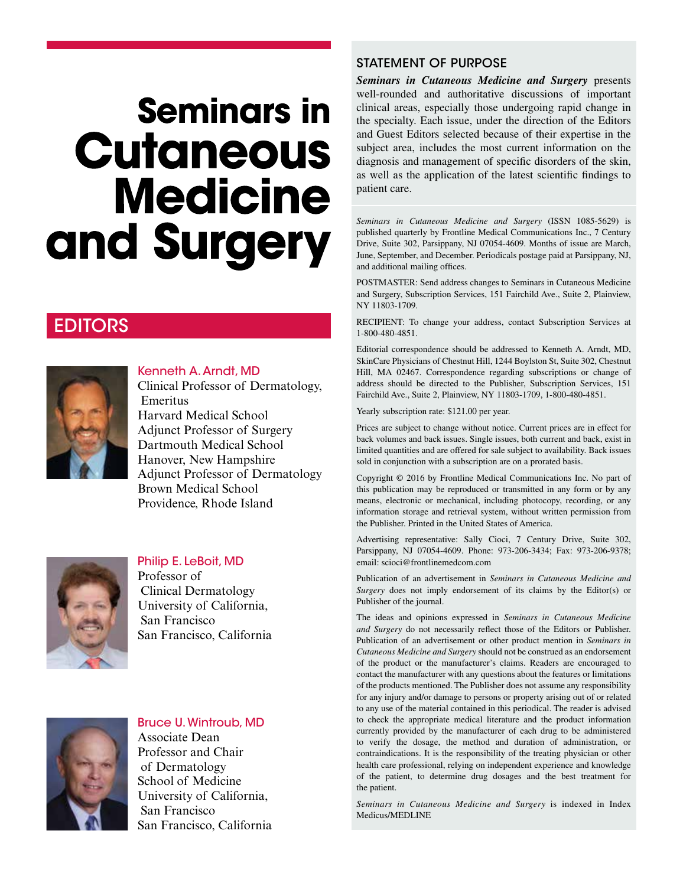# **Seminars in Cutaneous Medicine** and Surgery

# EDITORS



Kenneth A. Arndt, MD

Clinical Professor of Dermatology, Emeritus Harvard Medical School Adjunct Professor of Surgery Dartmouth Medical School Hanover, New Hampshire Adjunct Professor of Dermatology Brown Medical School Providence, Rhode Island



# Philip E. LeBoit, MD

Professor of Clinical Dermatology University of California, San Francisco San Francisco, California



## Bruce U. Wintroub, MD

Associate Dean Professor and Chair of Dermatology School of Medicine University of California, San Francisco San Francisco, California

### STATEMENT OF PURPOSE

*Seminars in Cutaneous Medicine and Surgery* presents well-rounded and authoritative discussions of important clinical areas, especially those undergoing rapid change in the specialty. Each issue, under the direction of the Editors and Guest Editors selected because of their expertise in the subject area, includes the most current information on the diagnosis and management of specific disorders of the skin, as well as the application of the latest scientific findings to patient care.

*Seminars in Cutaneous Medicine and Surgery* (ISSN 1085-5629) is published quarterly by Frontline Medical Communications Inc., 7 Century Drive, Suite 302, Parsippany, NJ 07054-4609. Months of issue are March, June, September, and December. Periodicals postage paid at Parsippany, NJ, and additional mailing offices.

POSTMASTER: Send address changes to Seminars in Cutaneous Medicine and Surgery, Subscription Services, 151 Fairchild Ave., Suite 2, Plainview, NY 11803-1709.

RECIPIENT: To change your address, contact Subscription Services at 1-800-480-4851.

Editorial correspondence should be addressed to Kenneth A. Arndt, MD, SkinCare Physicians of Chestnut Hill, 1244 Boylston St, Suite 302, Chestnut Hill, MA 02467. Correspondence regarding subscriptions or change of address should be directed to the Publisher, Subscription Services, 151 Fairchild Ave., Suite 2, Plainview, NY 11803-1709, 1-800-480-4851.

Yearly subscription rate: \$121.00 per year.

Prices are subject to change without notice. Current prices are in effect for back volumes and back issues. Single issues, both current and back, exist in limited quantities and are offered for sale subject to availability. Back issues sold in conjunction with a subscription are on a prorated basis.

Copyright © 2016 by Frontline Medical Communications Inc. No part of this publication may be reproduced or transmitted in any form or by any means, electronic or mechanical, including photocopy, recording, or any information storage and retrieval system, without written permission from the Publisher. Printed in the United States of America.

Advertising representative: Sally Cioci, 7 Century Drive, Suite 302, Parsippany, NJ 07054-4609. Phone: 973-206-3434; Fax: 973-206-9378; email: scioci@frontlinemedcom.com

Publication of an advertisement in *Seminars in Cutaneous Medicine and Surgery* does not imply endorsement of its claims by the Editor(s) or Publisher of the journal.

The ideas and opinions expressed in *Seminars in Cutaneous Medicine and Surgery* do not necessarily reflect those of the Editors or Publisher. Publication of an advertisement or other product mention in *Seminars in Cutaneous Medicine and Surgery* should not be construed as an endorsement of the product or the manufacturer's claims. Readers are encouraged to contact the manufacturer with any questions about the features or limitations of the products mentioned. The Publisher does not assume any responsibility for any injury and/or damage to persons or property arising out of or related to any use of the material contained in this periodical. The reader is advised to check the appropriate medical literature and the product information currently provided by the manufacturer of each drug to be administered to verify the dosage, the method and duration of administration, or contraindications. It is the responsibility of the treating physician or other health care professional, relying on independent experience and knowledge of the patient, to determine drug dosages and the best treatment for the patient.

*Seminars in Cutaneous Medicine and Surgery* is indexed in Index Medicus/MEDLINE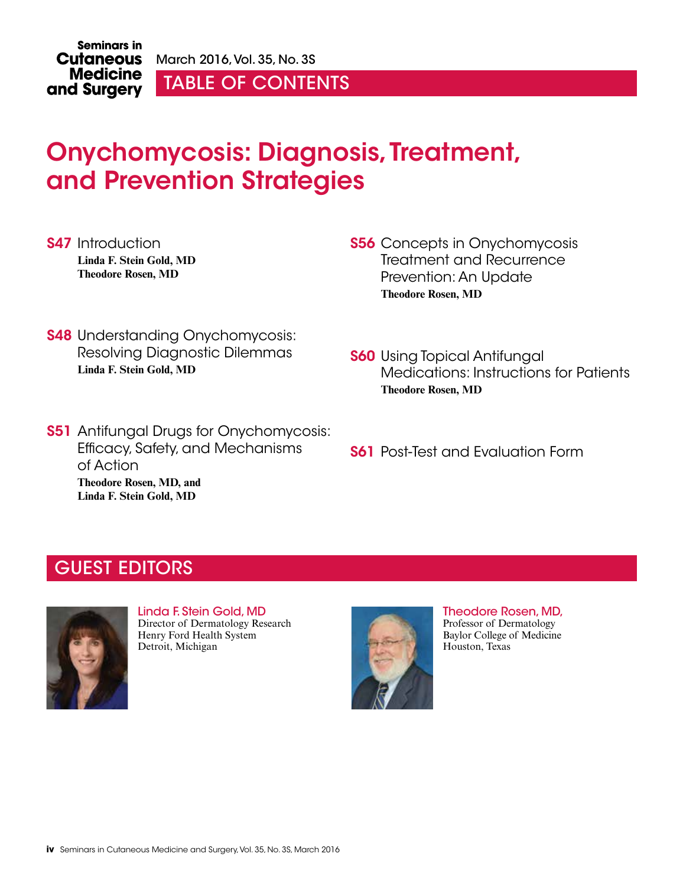March 2016, Vol. 35, No. 3S

**Seminars in Cutaneous Medicine** and Surgery

TABLE OF CONTENTS

# Onychomycosis: Diagnosis, Treatment, and Prevention Strategies

- S47 Introduction **Linda F. Stein Gold, MD Theodore Rosen, MD**
- **S48** Understanding Onychomycosis: Resolving Diagnostic Dilemmas **Linda F. Stein Gold, MD**
- **S51** Antifungal Drugs for Onychomycosis: Efficacy, Safety, and Mechanisms of Action **Theodore Rosen, MD, and Linda F. Stein Gold, MD**
- **S56** Concepts in Onychomycosis Treatment and Recurrence Prevention: An Update **Theodore Rosen, MD**
- **S60** Using Topical Antifungal Medications: Instructions for Patients **Theodore Rosen, MD**
- S61 Post-Test and Evaluation Form

# GUEST EDITORS



Linda F. Stein Gold, MD Director of Dermatology Research Henry Ford Health System Detroit, Michigan



Theodore Rosen, MD, Professor of Dermatology Baylor College of Medicine Houston, Texas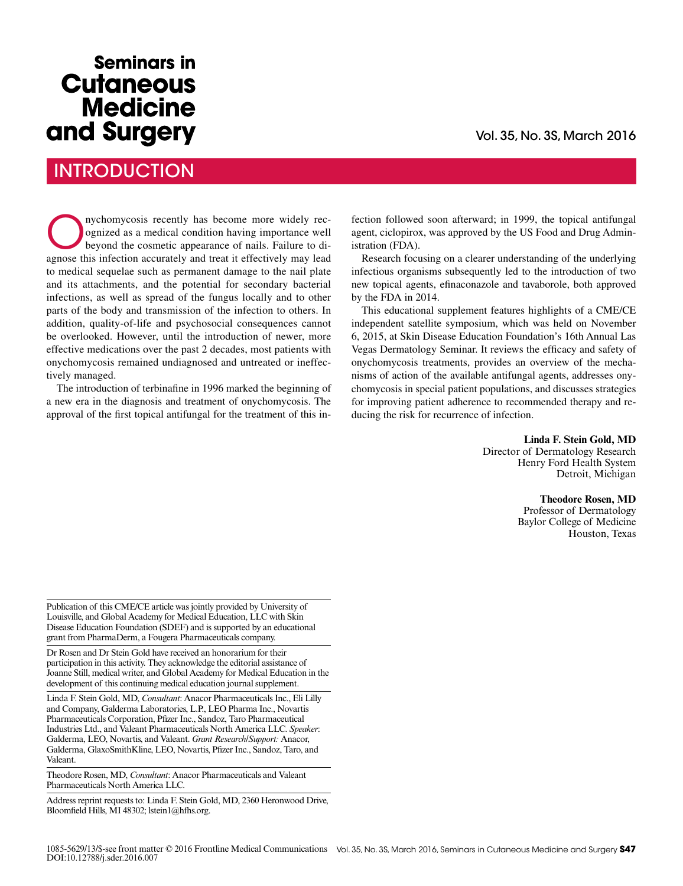# **Seminars in Cutaneous Medicine** and Surgery

# **INTRODUCTION**

nychomycosis recently has become more widely rec-<br>ognized as a medical condition having importance well<br>beyond the cosmetic appearance of nails. Failure to di-<br>agnose this infection accurately and treat it effectively may ognized as a medical condition having importance well beyond the cosmetic appearance of nails. Failure to diagnose this infection accurately and treat it effectively may lead to medical sequelae such as permanent damage to the nail plate and its attachments, and the potential for secondary bacterial infections, as well as spread of the fungus locally and to other parts of the body and transmission of the infection to others. In addition, quality-of-life and psychosocial consequences cannot be overlooked. However, until the introduction of newer, more effective medications over the past 2 decades, most patients with onychomycosis remained undiagnosed and untreated or ineffectively managed.

The introduction of terbinafine in 1996 marked the beginning of a new era in the diagnosis and treatment of onychomycosis. The approval of the first topical antifungal for the treatment of this infection followed soon afterward; in 1999, the topical antifungal agent, ciclopirox, was approved by the US Food and Drug Administration (FDA).

Research focusing on a clearer understanding of the underlying infectious organisms subsequently led to the introduction of two new topical agents, efinaconazole and tavaborole, both approved by the FDA in 2014.

This educational supplement features highlights of a CME/CE independent satellite symposium, which was held on November 6, 2015, at Skin Disease Education Foundation's 16th Annual Las Vegas Dermatology Seminar. It reviews the efficacy and safety of onychomycosis treatments, provides an overview of the mechanisms of action of the available antifungal agents, addresses onychomycosis in special patient populations, and discusses strategies for improving patient adherence to recommended therapy and reducing the risk for recurrence of infection.

> **Linda F. Stein Gold, MD** Director of Dermatology Research Henry Ford Health System Detroit, Michigan

> > **Theodore Rosen, MD** Professor of Dermatology Baylor College of Medicine Houston, Texas

Publication of this CME/CE article was jointly provided by University of Louisville, and Global Academy for Medical Education, LLC with Skin Disease Education Foundation (SDEF) and is supported by an educational grant from PharmaDerm, a Fougera Pharmaceuticals company.

Dr Rosen and Dr Stein Gold have received an honorarium for their participation in this activity. They acknowledge the editorial assistance of Joanne Still, medical writer, and Global Academy for Medical Education in the development of this continuing medical education journal supplement.

Linda F. Stein Gold, MD, *Consultant*: Anacor Pharmaceuticals Inc., Eli Lilly and Company, Galderma Laboratories, L.P., LEO Pharma Inc., Novartis Pharmaceuticals Corporation, Pfizer Inc., Sandoz, Taro Pharmaceutical Industries Ltd., and Valeant Pharmaceuticals North America LLC. *Speaker*: Galderma, LEO, Novartis, and Valeant. *Grant Research/Support:* Anacor, Galderma, GlaxoSmithKline, LEO, Novartis, Pfizer Inc., Sandoz, Taro, and Valeant.

Theodore Rosen, MD, *Consultant*: Anacor Pharmaceuticals and Valeant Pharmaceuticals North America LLC.

Address reprint requests to: Linda F. Stein Gold, MD, 2360 Heronwood Drive, Bloomfield Hills, MI 48302; lstein1@hfhs.org.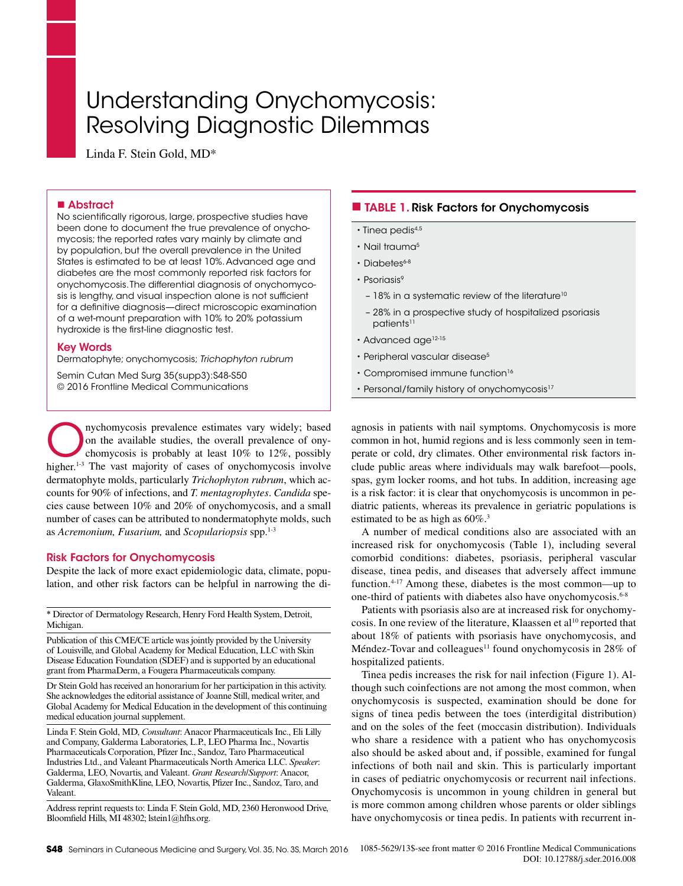# Understanding Onychomycosis: Resolving Diagnostic Dilemmas

Linda F. Stein Gold, MD\*

#### ■ Abstract

No scientifically rigorous, large, prospective studies have been done to document the true prevalence of onychomycosis; the reported rates vary mainly by climate and by population, but the overall prevalence in the United States is estimated to be at least 10%. Advanced age and diabetes are the most commonly reported risk factors for onychomycosis. The differential diagnosis of onychomycosis is lengthy, and visual inspection alone is not sufficient for a definitive diagnosis—direct microscopic examination of a wet-mount preparation with 10% to 20% potassium hydroxide is the first-line diagnostic test.

#### Key Words

Dermatophyte; onychomycosis; *Trichophyton rubrum*

Semin Cutan Med Surg 35(supp3):S48-S50 © 2016 Frontline Medical Communications

nychomycosis prevalence estimates vary widely; based<br>on the available studies, the overall prevalence of ony-<br>chomycosis is probably at least 10% to 12%, possibly<br>higher <sup>1-3</sup>. The yest majority of cases of onychomycosis i on the available studies, the overall prevalence of onyhigher.<sup>1-3</sup> The vast majority of cases of onychomycosis involve dermatophyte molds, particularly *Trichophyton rubrum*, which accounts for 90% of infections, and *T. mentagrophytes*. *Candida* species cause between 10% and 20% of onychomycosis, and a small number of cases can be attributed to nondermatophyte molds, such as *Acremonium, Fusarium,* and *Scopulariopsis* spp.1-3

#### Risk Factors for Onychomycosis

Despite the lack of more exact epidemiologic data, climate, population, and other risk factors can be helpful in narrowing the di-

\* Director of Dermatology Research, Henry Ford Health System, Detroit, Michigan.

Publication of this CME/CE article was jointly provided by the University of Louisville, and Global Academy for Medical Education, LLC with Skin Disease Education Foundation (SDEF) and is supported by an educational grant from PharmaDerm, a Fougera Pharmaceuticals company.

Dr Stein Gold has received an honorarium for her participation in this activity. She acknowledges the editorial assistance of Joanne Still, medical writer, and Global Academy for Medical Education in the development of this continuing medical education journal supplement.

Linda F. Stein Gold, MD, *Consultant*: Anacor Pharmaceuticals Inc., Eli Lilly and Company, Galderma Laboratories, L.P., LEO Pharma Inc., Novartis Pharmaceuticals Corporation, Pfizer Inc., Sandoz, Taro Pharmaceutical Industries Ltd., and Valeant Pharmaceuticals North America LLC. *Speaker*: Galderma, LEO, Novartis, and Valeant. *Grant Research/Support*: Anacor, Galderma, GlaxoSmithKline, LEO, Novartis, Pfizer Inc., Sandoz, Taro, and Valeant.

Address reprint requests to: Linda F. Stein Gold, MD, 2360 Heronwood Drive, Bloomfield Hills, MI 48302; lstein1@hfhs.org.

#### **E** TABLE 1. Risk Factors for Onychomycosis

- Tinea pedis<sup>4,5</sup>
- Nail trauma<sup>5</sup>
- $\cdot$  Diabetes<sup>6-8</sup>
- $\cdot$  Psoriasis<sup>9</sup>
	- 18% in a systematic review of the literature<sup>10</sup>
	- 28% in a prospective study of hospitalized psoriasis patients<sup>11</sup>
- Advanced age<sup>12-15</sup>
- Peripheral vascular disease<sup>5</sup>
- Compromised immune function<sup>16</sup>
- Personal/family history of onychomycosis<sup>17</sup>

agnosis in patients with nail symptoms. Onychomycosis is more common in hot, humid regions and is less commonly seen in temperate or cold, dry climates. Other environmental risk factors include public areas where individuals may walk barefoot—pools, spas, gym locker rooms, and hot tubs. In addition, increasing age is a risk factor: it is clear that onychomycosis is uncommon in pediatric patients, whereas its prevalence in geriatric populations is estimated to be as high as  $60\%$ <sup>3</sup>

A number of medical conditions also are associated with an increased risk for onychomycosis (Table 1), including several comorbid conditions: diabetes, psoriasis, peripheral vascular disease, tinea pedis, and diseases that adversely affect immune function.4-17 Among these, diabetes is the most common—up to one-third of patients with diabetes also have onychomycosis.<sup>6-8</sup>

Patients with psoriasis also are at increased risk for onychomycosis. In one review of the literature, Klaassen et al<sup>10</sup> reported that about 18% of patients with psoriasis have onychomycosis, and Méndez-Tovar and colleagues<sup>11</sup> found onychomycosis in 28% of hospitalized patients.

Tinea pedis increases the risk for nail infection (Figure 1). Although such coinfections are not among the most common, when onychomycosis is suspected, examination should be done for signs of tinea pedis between the toes (interdigital distribution) and on the soles of the feet (moccasin distribution). Individuals who share a residence with a patient who has onychomycosis also should be asked about and, if possible, examined for fungal infections of both nail and skin. This is particularly important in cases of pediatric onychomycosis or recurrent nail infections. Onychomycosis is uncommon in young children in general but is more common among children whose parents or older siblings have onychomycosis or tinea pedis. In patients with recurrent in-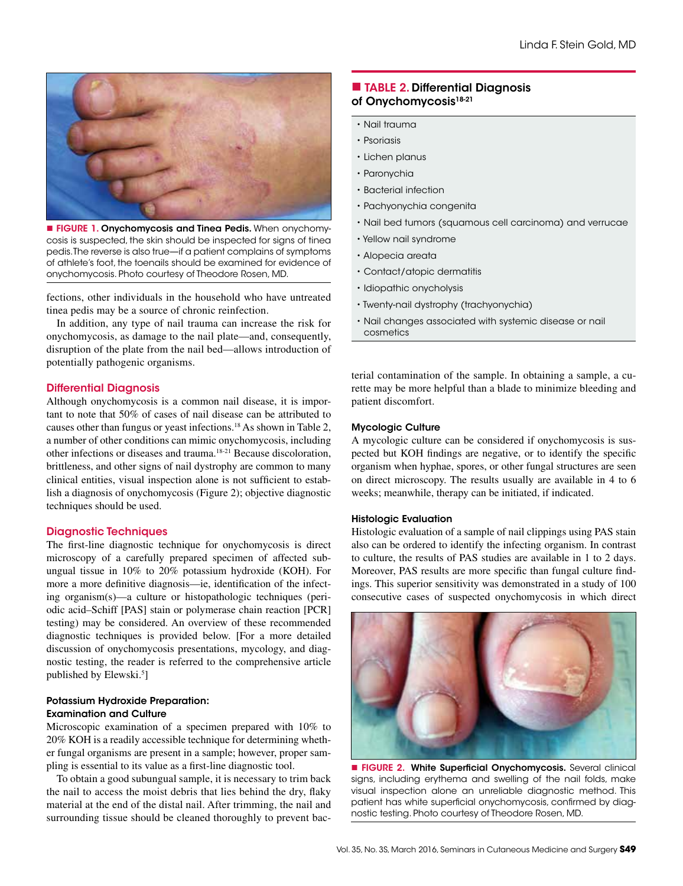

**FIGURE 1. Onychomycosis and Tinea Pedis.** When onychomycosis is suspected, the skin should be inspected for signs of tinea pedis. The reverse is also true—if a patient complains of symptoms of athlete's foot, the toenails should be examined for evidence of onychomycosis. Photo courtesy of Theodore Rosen, MD.

fections, other individuals in the household who have untreated tinea pedis may be a source of chronic reinfection.

In addition, any type of nail trauma can increase the risk for onychomycosis, as damage to the nail plate—and, consequently, disruption of the plate from the nail bed—allows introduction of potentially pathogenic organisms.

#### Differential Diagnosis

Although onychomycosis is a common nail disease, it is important to note that 50% of cases of nail disease can be attributed to causes other than fungus or yeast infections.18 As shown in Table 2, a number of other conditions can mimic onychomycosis, including other infections or diseases and trauma.18-21 Because discoloration, brittleness, and other signs of nail dystrophy are common to many clinical entities, visual inspection alone is not sufficient to establish a diagnosis of onychomycosis (Figure 2); objective diagnostic techniques should be used.

#### Diagnostic Techniques

The first-line diagnostic technique for onychomycosis is direct microscopy of a carefully prepared specimen of affected subungual tissue in 10% to 20% potassium hydroxide (KOH). For more a more definitive diagnosis—ie, identification of the infecting organism(s)—a culture or histopathologic techniques (periodic acid–Schiff [PAS] stain or polymerase chain reaction [PCR] testing) may be considered. An overview of these recommended diagnostic techniques is provided below. [For a more detailed discussion of onychomycosis presentations, mycology, and diagnostic testing, the reader is referred to the comprehensive article published by Elewski.<sup>5</sup>]

#### Potassium Hydroxide Preparation: Examination and Culture

Microscopic examination of a specimen prepared with 10% to 20% KOH is a readily accessible technique for determining whether fungal organisms are present in a sample; however, proper sampling is essential to its value as a first-line diagnostic tool.

To obtain a good subungual sample, it is necessary to trim back the nail to access the moist debris that lies behind the dry, flaky material at the end of the distal nail. After trimming, the nail and surrounding tissue should be cleaned thoroughly to prevent bac-

### ■ TABLE 2. Differential Diagnosis of Onychomycosis<sup>18-21</sup>

#### • Nail trauma

- Psoriasis
- Lichen planus
- Paronychia
- Bacterial infection
- Pachyonychia congenita
- Nail bed tumors (squamous cell carcinoma) and verrucae
- Yellow nail syndrome
- Alopecia areata
- Contact/atopic dermatitis
- Idiopathic onycholysis
- Twenty-nail dystrophy (trachyonychia)
- Nail changes associated with systemic disease or nail cosmetics

terial contamination of the sample. In obtaining a sample, a curette may be more helpful than a blade to minimize bleeding and patient discomfort.

#### Mycologic Culture

A mycologic culture can be considered if onychomycosis is suspected but KOH findings are negative, or to identify the specific organism when hyphae, spores, or other fungal structures are seen on direct microscopy. The results usually are available in 4 to 6 weeks; meanwhile, therapy can be initiated, if indicated.

#### Histologic Evaluation

Histologic evaluation of a sample of nail clippings using PAS stain also can be ordered to identify the infecting organism. In contrast to culture, the results of PAS studies are available in 1 to 2 days. Moreover, PAS results are more specific than fungal culture findings. This superior sensitivity was demonstrated in a study of 100 consecutive cases of suspected onychomycosis in which direct



**FIGURE 2. White Superficial Onychomycosis.** Several clinical signs, including erythema and swelling of the nail folds, make visual inspection alone an unreliable diagnostic method. This patient has white superficial onychomycosis, confirmed by diagnostic testing. Photo courtesy of Theodore Rosen, MD.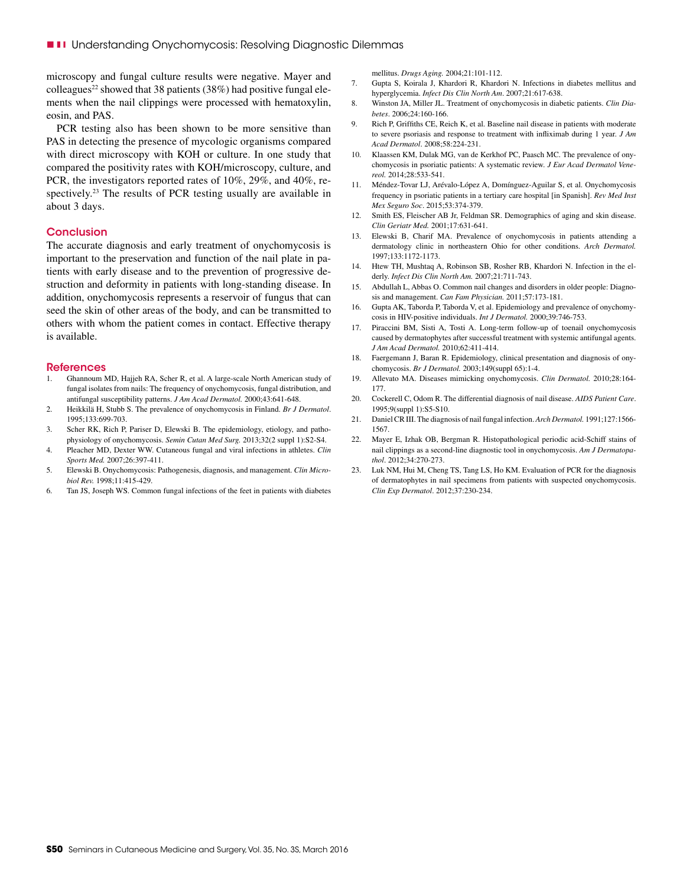microscopy and fungal culture results were negative. Mayer and colleagues<sup>22</sup> showed that 38 patients (38%) had positive fungal elements when the nail clippings were processed with hematoxylin, eosin, and PAS.

PCR testing also has been shown to be more sensitive than PAS in detecting the presence of mycologic organisms compared with direct microscopy with KOH or culture. In one study that compared the positivity rates with KOH/microscopy, culture, and PCR, the investigators reported rates of 10%, 29%, and 40%, respectively.23 The results of PCR testing usually are available in about 3 days.

#### **Conclusion**

The accurate diagnosis and early treatment of onychomycosis is important to the preservation and function of the nail plate in patients with early disease and to the prevention of progressive destruction and deformity in patients with long-standing disease. In addition, onychomycosis represents a reservoir of fungus that can seed the skin of other areas of the body, and can be transmitted to others with whom the patient comes in contact. Effective therapy is available.

#### **References**

- 1. Ghannoum MD, Hajjeh RA, Scher R, et al. A large-scale North American study of fungal isolates from nails: The frequency of onychomycosis, fungal distribution, and antifungal susceptibility patterns. *J Am Acad Dermatol.* 2000;43:641-648.
- 2. Heikkilä H, Stubb S. The prevalence of onychomycosis in Finland. *Br J Dermatol*. 1995;133:699-703.
- 3. Scher RK, Rich P, Pariser D, Elewski B. The epidemiology, etiology, and pathophysiology of onychomycosis. *Semin Cutan Med Surg.* 2013;32(2 suppl 1):S2-S4.
- 4. Pleacher MD, Dexter WW. Cutaneous fungal and viral infections in athletes. *Clin Sports Med.* 2007;26:397-411.
- 5. Elewski B. Onychomycosis: Pathogenesis, diagnosis, and management. *Clin Microbiol Rev.* 1998;11:415-429.
- 6. Tan JS, Joseph WS. Common fungal infections of the feet in patients with diabetes

mellitus. *Drugs Aging.* 2004;21:101-112.

- 7. Gupta S, Koirala J, Khardori R, Khardori N. Infections in diabetes mellitus and hyperglycemia. *Infect Dis Clin North Am*. 2007;21:617-638.
- 8. Winston JA, Miller JL. Treatment of onychomycosis in diabetic patients. *Clin Diabetes*. 2006;24:160-166.
- 9. Rich P, Griffiths CE, Reich K, et al. Baseline nail disease in patients with moderate to severe psoriasis and response to treatment with infliximab during 1 year. *J Am Acad Dermatol*. 2008;58:224-231.
- 10. Klaassen KM, Dulak MG, van de Kerkhof PC, Paasch MC. The prevalence of onychomycosis in psoriatic patients: A systematic review. *J Eur Acad Dermatol Venereol.* 2014;28:533-541.
- 11. Méndez-Tovar LJ, Arévalo-López A, Domínguez-Aguilar S, et al. Onychomycosis frequency in psoriatic patients in a tertiary care hospital [in Spanish]. *Rev Med Inst Mex Seguro Soc*. 2015;53:374-379.
- 12. Smith ES, Fleischer AB Jr, Feldman SR. Demographics of aging and skin disease. *Clin Geriatr Med.* 2001;17:631-641.
- 13. Elewski B, Charif MA. Prevalence of onychomycosis in patients attending a dermatology clinic in northeastern Ohio for other conditions. *Arch Dermatol.*  1997;133:1172-1173.
- 14. Htew TH, Mushtaq A, Robinson SB, Rosher RB, Khardori N. Infection in the elderly. *Infect Dis Clin North Am.* 2007;21:711-743.
- 15. Abdullah L, Abbas O. Common nail changes and disorders in older people: Diagnosis and management. *Can Fam Physician.* 2011;57:173-181.
- 16. Gupta AK, Taborda P, Taborda V, et al. Epidemiology and prevalence of onychomycosis in HIV-positive individuals. *Int J Dermatol.* 2000;39:746-753.
- 17. Piraccini BM, Sisti A, Tosti A. Long-term follow-up of toenail onychomycosis caused by dermatophytes after successful treatment with systemic antifungal agents. *J Am Acad Dermatol.* 2010;62:411-414.
- 18. Faergemann J, Baran R. Epidemiology, clinical presentation and diagnosis of onychomycosis. *Br J Dermatol.* 2003;149(suppl 65):1-4.
- 19. Allevato MA. Diseases mimicking onychomycosis. *Clin Dermatol.* 2010;28:164- 177.
- 20. Cockerell C, Odom R. The differential diagnosis of nail disease. *AIDS Patient Care*. 1995;9(suppl 1):S5-S10.
- 21. Daniel CR III. The diagnosis of nail fungal infection. *Arch Dermatol.* 1991;127:1566- 1567.
- 22. Mayer E, Izhak OB, Bergman R. Histopathological periodic acid-Schiff stains of nail clippings as a second-line diagnostic tool in onychomycosis. *Am J Dermatopathol*. 2012;34:270-273.
- 23. Luk NM, Hui M, Cheng TS, Tang LS, Ho KM. Evaluation of PCR for the diagnosis of dermatophytes in nail specimens from patients with suspected onychomycosis. *Clin Exp Dermatol*. 2012;37:230-234.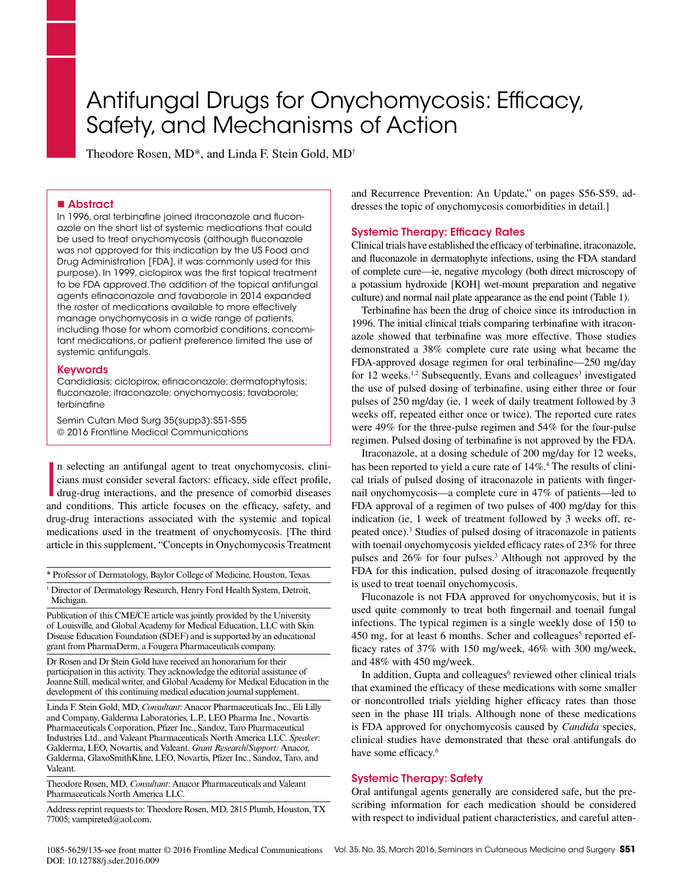# Antifungal Drugs for Onychomycosis: Efficacy, Safety, and Mechanisms of Action

Theodore Rosen, MD\*, and Linda F. Stein Gold, MD†

#### ■ Abstract

In 1996, oral terbinafine joined itraconazole and fluconazole on the short list of systemic medications that could be used to treat onychomycosis (although fluconazole was not approved for this indication by the US Food and Drug Administration [FDA], it was commonly used for this purpose). In 1999, ciclopirox was the first topical treatment to be FDA approved. The addition of the topical antifungal agents efinaconazole and tavaborole in 2014 expanded the roster of medications available to more effectively manage onychomycosis in a wide range of patients, including those for whom comorbid conditions, concomitant medications, or patient preference limited the use of systemic antifungals.

#### Keywords

Candidiasis; ciclopirox; efinaconazole; dermatophytosis; fluconazole; itraconazole; onychomycosis; tavaborole; terbinafine

Semin Cutan Med Surg 35(supp3):S51-S55 © 2016 Frontline Medical Communications

n selecting an antifungal agent to treat onychomycosis, clini-<br>cians must consider several factors: efficacy, side effect profile,<br>drug-drug interactions, and the presence of comorbid diseases<br>and conditions. This article n selecting an antifungal agent to treat onychomycosis, clinicians must consider several factors: efficacy, side effect profile, and conditions. This article focuses on the efficacy, safety, and drug-drug interactions associated with the systemic and topical medications used in the treatment of onychomycosis. [The third article in this supplement, "Concepts in Onychomycosis Treatment

\* Professor of Dermatology, Baylor College of Medicine, Houston, Texas.

† Director of Dermatology Research, Henry Ford Health System, Detroit, Michigan.

Publication of this CME/CE article was jointly provided by the University of Louisville, and Global Academy for Medical Education, LLC with Skin Disease Education Foundation (SDEF) and is supported by an educational grant from PharmaDerm, a Fougera Pharmaceuticals company.

Dr Rosen and Dr Stein Gold have received an honorarium for their participation in this activity. They acknowledge the editorial assistance of Joanne Still, medical writer, and Global Academy for Medical Education in the development of this continuing medical education journal supplement.

Linda F. Stein Gold, MD, *Consultant*: Anacor Pharmaceuticals Inc., Eli Lilly and Company, Galderma Laboratories, L.P., LEO Pharma Inc., Novartis Pharmaceuticals Corporation, Pfizer Inc., Sandoz, Taro Pharmaceutical Industries Ltd., and Valeant Pharmaceuticals North America LLC. *Speaker*: Galderma, LEO, Novartis, and Valeant. *Grant Research/Support:* Anacor, Galderma, GlaxoSmithKline, LEO, Novartis, Pfizer Inc., Sandoz, Taro, and Valeant.

Theodore Rosen, MD, *Consultant*: Anacor Pharmaceuticals and Valeant Pharmaceuticals North America LLC.

Address reprint requests to: Theodore Rosen, MD, 2815 Plumb, Houston, TX 77005; vampireted@aol.com.

and Recurrence Prevention: An Update," on pages S56-S59, addresses the topic of onychomycosis comorbidities in detail.]

#### Systemic Therapy: Efficacy Rates

Clinical trials have established the efficacy of terbinafine, itraconazole, and fluconazole in dermatophyte infections, using the FDA standard of complete cure—ie, negative mycology (both direct microscopy of a potassium hydroxide [KOH] wet-mount preparation and negative culture) and normal nail plate appearance as the end point (Table 1).

Terbinafine has been the drug of choice since its introduction in 1996. The initial clinical trials comparing terbinafine with itraconazole showed that terbinafine was more effective. Those studies demonstrated a 38% complete cure rate using what became the FDA-approved dosage regimen for oral terbinafine—250 mg/day for 12 weeks.<sup>1,2</sup> Subsequently, Evans and colleagues<sup>3</sup> investigated the use of pulsed dosing of terbinafine, using either three or four pulses of 250 mg/day (ie, 1 week of daily treatment followed by 3 weeks off, repeated either once or twice). The reported cure rates were 49% for the three-pulse regimen and 54% for the four-pulse regimen. Pulsed dosing of terbinafine is not approved by the FDA.

Itraconazole, at a dosing schedule of 200 mg/day for 12 weeks, has been reported to yield a cure rate of 14%.<sup>4</sup> The results of clinical trials of pulsed dosing of itraconazole in patients with fingernail onychomycosis—a complete cure in 47% of patients—led to FDA approval of a regimen of two pulses of 400 mg/day for this indication (ie, 1 week of treatment followed by 3 weeks off, repeated once).<sup>3</sup> Studies of pulsed dosing of itraconazole in patients with toenail onychomycosis yielded efficacy rates of 23% for three pulses and 26% for four pulses.<sup>3</sup> Although not approved by the FDA for this indication, pulsed dosing of itraconazole frequently is used to treat toenail onychomycosis.

Fluconazole is not FDA approved for onychomycosis, but it is used quite commonly to treat both fingernail and toenail fungal infections. The typical regimen is a single weekly dose of 150 to 450 mg, for at least 6 months. Scher and colleagues<sup>5</sup> reported efficacy rates of 37% with 150 mg/week, 46% with 300 mg/week, and 48% with 450 mg/week.

In addition, Gupta and colleagues<sup>6</sup> reviewed other clinical trials that examined the efficacy of these medications with some smaller or noncontrolled trials yielding higher efficacy rates than those seen in the phase III trials. Although none of these medications is FDA approved for onychomycosis caused by *Candida* species, clinical studies have demonstrated that these oral antifungals do have some efficacy.<sup>6</sup>

#### Systemic Therapy: Safety

Oral antifungal agents generally are considered safe, but the prescribing information for each medication should be considered with respect to individual patient characteristics, and careful atten-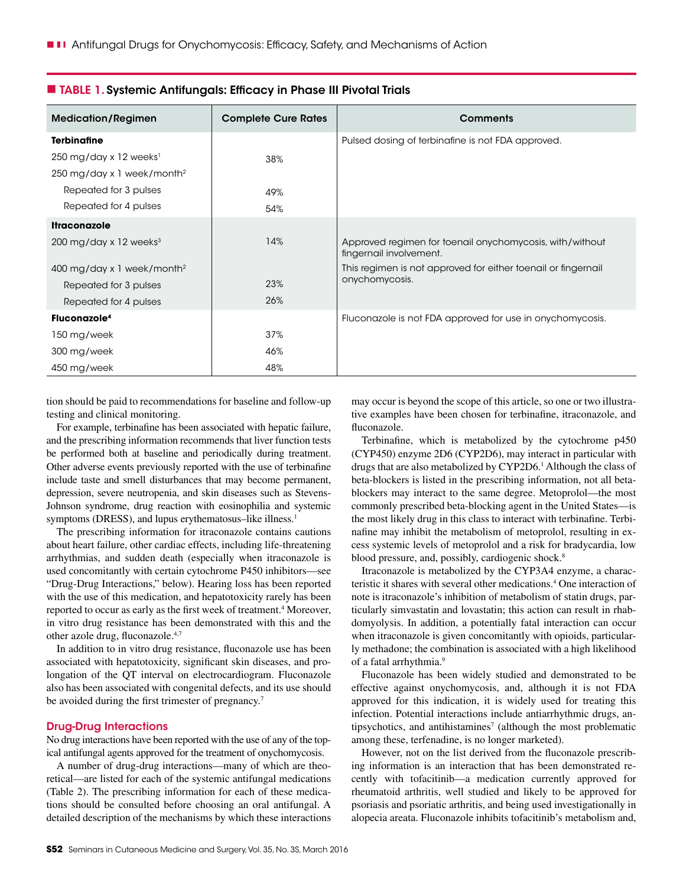| <b>Medication/Regimen</b>                      | <b>Complete Cure Rates</b> | <b>Comments</b>                                                                     |  |  |  |  |
|------------------------------------------------|----------------------------|-------------------------------------------------------------------------------------|--|--|--|--|
| <b>Terbinafine</b>                             |                            | Pulsed dosing of terbinatine is not FDA approved.                                   |  |  |  |  |
| $250 \text{ mg/day} \times 12 \text{ weeks}^1$ | 38%                        |                                                                                     |  |  |  |  |
| 250 mg/day x 1 week/month <sup>2</sup>         |                            |                                                                                     |  |  |  |  |
| Repeated for 3 pulses                          | 49%                        |                                                                                     |  |  |  |  |
| Repeated for 4 pulses                          | 54%                        |                                                                                     |  |  |  |  |
| <b>Itraconazole</b>                            |                            |                                                                                     |  |  |  |  |
| 200 mg/day x 12 weeks $3$                      | 14%                        | Approved regimen for toenail onychomycosis, with/without<br>fingernail involvement. |  |  |  |  |
| 400 mg/day x 1 week/month <sup>2</sup>         |                            | This regimen is not approved for either toenail or fingernail                       |  |  |  |  |
| Repeated for 3 pulses                          | 23%                        | onychomycosis.                                                                      |  |  |  |  |
| Repeated for 4 pulses                          | 26%                        |                                                                                     |  |  |  |  |
| <b>Fluconazole4</b>                            |                            | Fluconazole is not FDA approved for use in onychomycosis.                           |  |  |  |  |
| 150 mg/week                                    | 37%                        |                                                                                     |  |  |  |  |
| 300 mg/week                                    | 46%                        |                                                                                     |  |  |  |  |
| 450 mg/week                                    | 48%                        |                                                                                     |  |  |  |  |

#### ■ TABLE 1. Systemic Antifungals: Efficacy in Phase III Pivotal Trials

tion should be paid to recommendations for baseline and follow-up testing and clinical monitoring.

For example, terbinafine has been associated with hepatic failure, and the prescribing information recommends that liver function tests be performed both at baseline and periodically during treatment. Other adverse events previously reported with the use of terbinafine include taste and smell disturbances that may become permanent, depression, severe neutropenia, and skin diseases such as Stevens-Johnson syndrome, drug reaction with eosinophilia and systemic symptoms (DRESS), and lupus erythematosus–like illness.<sup>1</sup>

The prescribing information for itraconazole contains cautions about heart failure, other cardiac effects, including life-threatening arrhythmias, and sudden death (especially when itraconazole is used concomitantly with certain cytochrome P450 inhibitors—see "Drug-Drug Interactions," below). Hearing loss has been reported with the use of this medication, and hepatotoxicity rarely has been reported to occur as early as the first week of treatment.<sup>4</sup> Moreover, in vitro drug resistance has been demonstrated with this and the other azole drug, fluconazole.4,7

In addition to in vitro drug resistance, fluconazole use has been associated with hepatotoxicity, significant skin diseases, and prolongation of the QT interval on electrocardiogram. Fluconazole also has been associated with congenital defects, and its use should be avoided during the first trimester of pregnancy.<sup>7</sup>

#### Drug-Drug Interactions

No drug interactions have been reported with the use of any of the topical antifungal agents approved for the treatment of onychomycosis.

A number of drug-drug interactions—many of which are theoretical—are listed for each of the systemic antifungal medications (Table 2). The prescribing information for each of these medications should be consulted before choosing an oral antifungal. A detailed description of the mechanisms by which these interactions may occur is beyond the scope of this article, so one or two illustrative examples have been chosen for terbinafine, itraconazole, and fluconazole.

Terbinafine, which is metabolized by the cytochrome p450 (CYP450) enzyme 2D6 (CYP2D6), may interact in particular with drugs that are also metabolized by CYP2D6.<sup>1</sup> Although the class of beta-blockers is listed in the prescribing information, not all betablockers may interact to the same degree. Metoprolol—the most commonly prescribed beta-blocking agent in the United States—is the most likely drug in this class to interact with terbinafine. Terbinafine may inhibit the metabolism of metoprolol, resulting in excess systemic levels of metoprolol and a risk for bradycardia, low blood pressure, and, possibly, cardiogenic shock.<sup>8</sup>

Itraconazole is metabolized by the CYP3A4 enzyme, a characteristic it shares with several other medications.4 One interaction of note is itraconazole's inhibition of metabolism of statin drugs, particularly simvastatin and lovastatin; this action can result in rhabdomyolysis. In addition, a potentially fatal interaction can occur when itraconazole is given concomitantly with opioids, particularly methadone; the combination is associated with a high likelihood of a fatal arrhythmia.9

Fluconazole has been widely studied and demonstrated to be effective against onychomycosis, and, although it is not FDA approved for this indication, it is widely used for treating this infection. Potential interactions include antiarrhythmic drugs, antipsychotics, and antihistamines<sup>7</sup> (although the most problematic among these, terfenadine, is no longer marketed).

However, not on the list derived from the fluconazole prescribing information is an interaction that has been demonstrated recently with tofacitinib—a medication currently approved for rheumatoid arthritis, well studied and likely to be approved for psoriasis and psoriatic arthritis, and being used investigationally in alopecia areata. Fluconazole inhibits tofacitinib's metabolism and,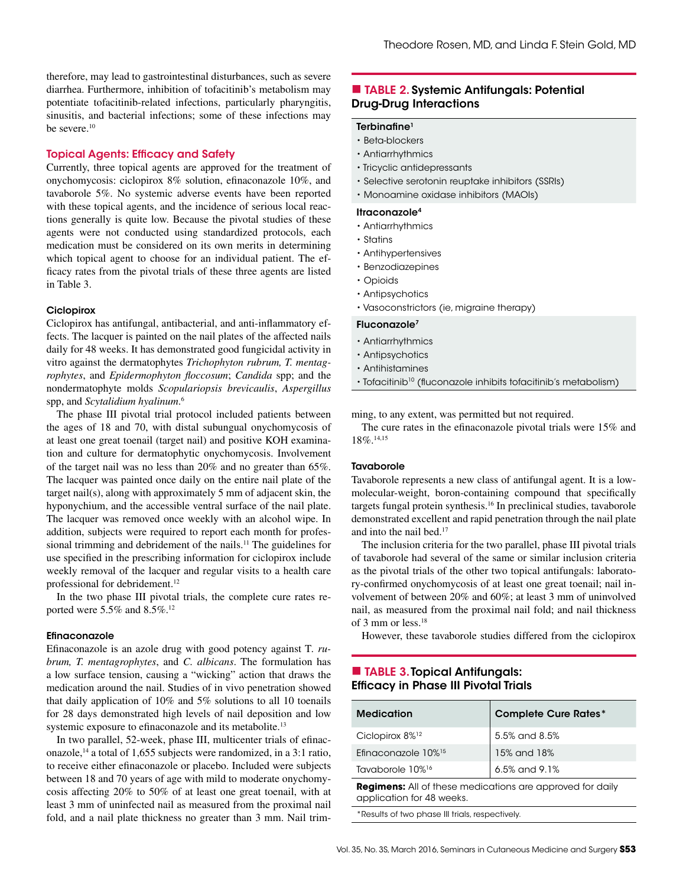therefore, may lead to gastrointestinal disturbances, such as severe diarrhea. Furthermore, inhibition of tofacitinib's metabolism may potentiate tofacitinib-related infections, particularly pharyngitis, sinusitis, and bacterial infections; some of these infections may be severe.10

#### Topical Agents: Efficacy and Safety

Currently, three topical agents are approved for the treatment of onychomycosis: ciclopirox 8% solution, efinaconazole 10%, and tavaborole 5%. No systemic adverse events have been reported with these topical agents, and the incidence of serious local reactions generally is quite low. Because the pivotal studies of these agents were not conducted using standardized protocols, each medication must be considered on its own merits in determining which topical agent to choose for an individual patient. The efficacy rates from the pivotal trials of these three agents are listed in Table 3.

#### **Ciclopirox**

Ciclopirox has antifungal, antibacterial, and anti-inflammatory effects. The lacquer is painted on the nail plates of the affected nails daily for 48 weeks. It has demonstrated good fungicidal activity in vitro against the dermatophytes *Trichophyton rubrum, T. mentagrophytes*, and *Epidermophyton floccosum*; *Candida* spp; and the nondermatophyte molds *Scopulariopsis brevicaulis*, *Aspergillus*  spp, and *Scytalidium hyalinum*. 6

The phase III pivotal trial protocol included patients between the ages of 18 and 70, with distal subungual onychomycosis of at least one great toenail (target nail) and positive KOH examination and culture for dermatophytic onychomycosis. Involvement of the target nail was no less than 20% and no greater than 65%. The lacquer was painted once daily on the entire nail plate of the target nail(s), along with approximately 5 mm of adjacent skin, the hyponychium, and the accessible ventral surface of the nail plate. The lacquer was removed once weekly with an alcohol wipe. In addition, subjects were required to report each month for professional trimming and debridement of the nails.11 The guidelines for use specified in the prescribing information for ciclopirox include weekly removal of the lacquer and regular visits to a health care professional for debridement.12

In the two phase III pivotal trials, the complete cure rates reported were 5.5% and 8.5%.12

#### Efinaconazole

Efinaconazole is an azole drug with good potency against T*. rubrum, T. mentagrophytes*, and *C. albicans*. The formulation has a low surface tension, causing a "wicking" action that draws the medication around the nail. Studies of in vivo penetration showed that daily application of 10% and 5% solutions to all 10 toenails for 28 days demonstrated high levels of nail deposition and low systemic exposure to efinaconazole and its metabolite.<sup>13</sup>

In two parallel, 52-week, phase III, multicenter trials of efinaconazole,14 a total of 1,655 subjects were randomized, in a 3:1 ratio, to receive either efinaconazole or placebo. Included were subjects between 18 and 70 years of age with mild to moderate onychomycosis affecting 20% to 50% of at least one great toenail, with at least 3 mm of uninfected nail as measured from the proximal nail fold, and a nail plate thickness no greater than 3 mm. Nail trim-

#### ■ TABLE 2. Systemic Antifungals: Potential Drug-Drug Interactions

#### Terbinafine<sup>1</sup>

- Beta-blockers
- Antiarrhythmics
- Tricyclic antidepressants
- Selective serotonin reuptake inhibitors (SSRIs)
- Monoamine oxidase inhibitors (MAOIs)

#### Itraconazole4

- Antiarrhythmics
- Statins
- Antihypertensives
- Benzodiazepines
- Opioids
- Antipsychotics
- Vasoconstrictors (ie, migraine therapy)

#### Fluconazole<sup>7</sup>

- Antiarrhythmics
- Antipsychotics
- Antihistamines
- Tofacitinib<sup>10</sup> (fluconazole inhibits tofacitinib's metabolism)

ming, to any extent, was permitted but not required.

The cure rates in the efinaconazole pivotal trials were 15% and 18%.14,15

#### **Tavaborole**

Tavaborole represents a new class of antifungal agent. It is a lowmolecular-weight, boron-containing compound that specifically targets fungal protein synthesis.16 In preclinical studies, tavaborole demonstrated excellent and rapid penetration through the nail plate and into the nail bed.17

The inclusion criteria for the two parallel, phase III pivotal trials of tavaborole had several of the same or similar inclusion criteria as the pivotal trials of the other two topical antifungals: laboratory-confirmed onychomycosis of at least one great toenail; nail involvement of between 20% and 60%; at least 3 mm of uninvolved nail, as measured from the proximal nail fold; and nail thickness of 3 mm or less.18

However, these tavaborole studies differed from the ciclopirox

#### ■ TABLE 3. Topical Antifungals: Efficacy in Phase III Pivotal Trials

| <b>Medication</b>                                                                             | <b>Complete Cure Rates*</b> |  |  |  |  |  |  |  |
|-----------------------------------------------------------------------------------------------|-----------------------------|--|--|--|--|--|--|--|
| Ciclopirox 8% <sup>12</sup>                                                                   | 5.5% and 8.5%               |  |  |  |  |  |  |  |
| Efinaconazole 10% <sup>15</sup>                                                               | 15% and 18%                 |  |  |  |  |  |  |  |
| Tavaborole 10% <sup>16</sup>                                                                  | $6.5\%$ and 9.1%            |  |  |  |  |  |  |  |
| <b>Regimens:</b> All of these medications are approved for daily<br>application for 48 weeks. |                             |  |  |  |  |  |  |  |
|                                                                                               |                             |  |  |  |  |  |  |  |

\*Results of two phase III trials, respectively.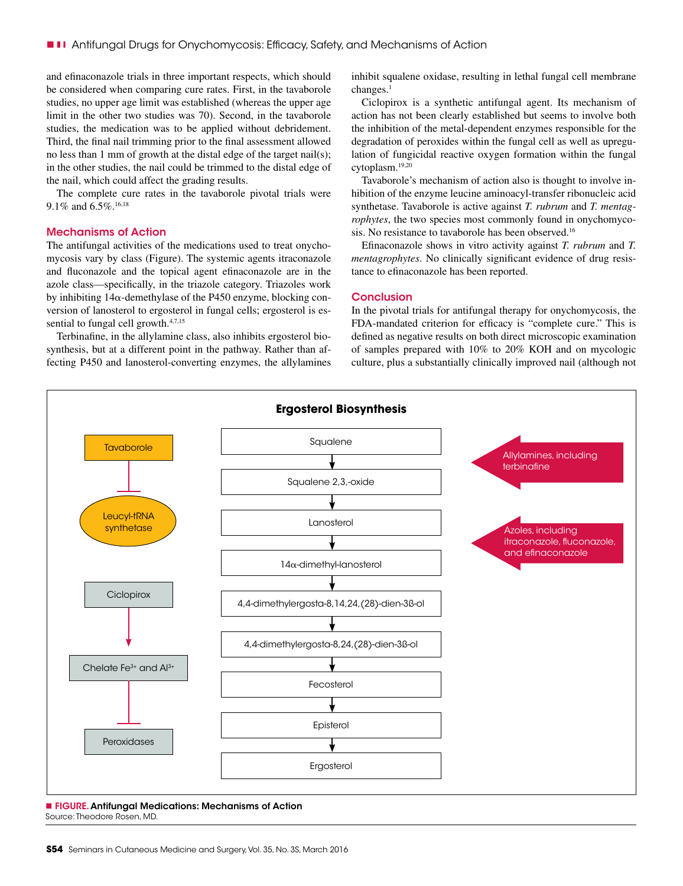and efinaconazole trials in three important respects, which should be considered when comparing cure rates. First, in the tavaborole studies, no upper age limit was established (whereas the upper age limit in the other two studies was 70). Second, in the tavaborole studies, the medication was to be applied without debridement. Third, the final nail trimming prior to the final assessment allowed no less than 1 mm of growth at the distal edge of the target nail(s); in the other studies, the nail could be trimmed to the distal edge of the nail, which could affect the grading results.

The complete cure rates in the tavaborole pivotal trials were 9.1% and 6.5%.<sup>16,18</sup>

#### Mechanisms of Action

The antifungal activities of the medications used to treat onychomycosis vary by class (Figure). The systemic agents itraconazole and fluconazole and the topical agent efinaconazole are in the azole class—specifically, in the triazole category. Triazoles work by inhibiting 14α-demethylase of the P450 enzyme, blocking conversion of lanosterol to ergosterol in fungal cells; ergosterol is essential to fungal cell growth.<sup>4,7,15</sup>

Terbinafine, in the allylamine class, also inhibits ergosterol biosynthesis, but at a different point in the pathway. Rather than affecting P450 and lanosterol-converting enzymes, the allylamines inhibit squalene oxidase, resulting in lethal fungal cell membrane changes.<sup>1</sup>

Ciclopirox is a synthetic antifungal agent. Its mechanism of action has not been clearly established but seems to involve both the inhibition of the metal-dependent enzymes responsible for the degradation of peroxides within the fungal cell as well as upregulation of fungicidal reactive oxygen formation within the fungal cytoplasm.19,20

Tavaborole's mechanism of action also is thought to involve inhibition of the enzyme leucine aminoacyl-transfer ribonucleic acid synthetase. Tavaborole is active against *T. rubrum* and *T. mentagrophytes*, the two species most commonly found in onychomycosis. No resistance to tavaborole has been observed.16

Efinaconazole shows in vitro activity against *T. rubrum* and *T. mentagrophytes*. No clinically significant evidence of drug resistance to efinaconazole has been reported.

#### **Conclusion**

In the pivotal trials for antifungal therapy for onychomycosis, the FDA-mandated criterion for efficacy is "complete cure." This is defined as negative results on both direct microscopic examination of samples prepared with 10% to 20% KOH and on mycologic culture, plus a substantially clinically improved nail (although not



■ FIGURE. Antifungal Medications: Mechanisms of Action Source: Theodore Rosen, MD.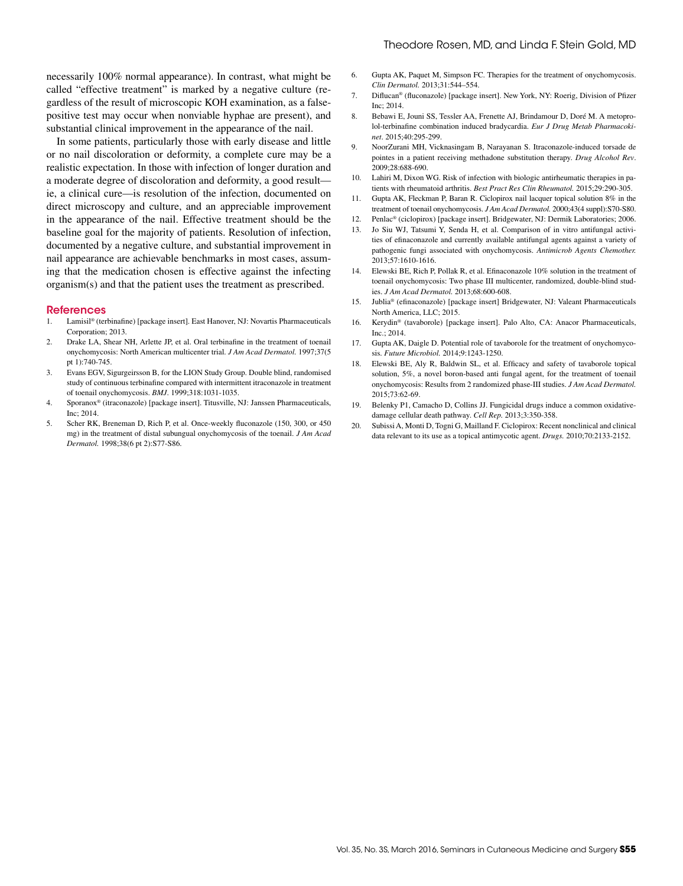necessarily 100% normal appearance). In contrast, what might be called "effective treatment" is marked by a negative culture (regardless of the result of microscopic KOH examination, as a falsepositive test may occur when nonviable hyphae are present), and substantial clinical improvement in the appearance of the nail.

In some patients, particularly those with early disease and little or no nail discoloration or deformity, a complete cure may be a realistic expectation. In those with infection of longer duration and a moderate degree of discoloration and deformity, a good result ie, a clinical cure—is resolution of the infection, documented on direct microscopy and culture, and an appreciable improvement in the appearance of the nail. Effective treatment should be the baseline goal for the majority of patients. Resolution of infection, documented by a negative culture, and substantial improvement in nail appearance are achievable benchmarks in most cases, assuming that the medication chosen is effective against the infecting organism(s) and that the patient uses the treatment as prescribed.

#### **References**

- 1. Lamisil® (terbinafine) [package insert]. East Hanover, NJ: Novartis Pharmaceuticals Corporation; 2013.
- 2. Drake LA, Shear NH, Arlette JP, et al. Oral terbinafine in the treatment of toenail onychomycosis: North American multicenter trial. *J Am Acad Dermatol.* 1997;37(5 pt 1):740-745.
- 3. Evans EGV, Sigurgeirsson B, for the LION Study Group. Double blind, randomised study of continuous terbinafine compared with intermittent itraconazole in treatment of toenail onychomycosis. *BMJ*. 1999;318:1031-1035.
- 4. Sporanox® (itraconazole) [package insert]. Titusville, NJ: Janssen Pharmaceuticals, Inc; 2014.
- 5. Scher RK, Breneman D, Rich P, et al. Once-weekly fluconazole (150, 300, or 450 mg) in the treatment of distal subungual onychomycosis of the toenail. *J Am Acad Dermatol.* 1998;38(6 pt 2):S77-S86.
- 6. Gupta AK, Paquet M, Simpson FC. Therapies for the treatment of onychomycosis. *Clin Dermatol.* 2013;31:544–554.
- 7. Diflucan® (fluconazole) [package insert]. New York, NY: Roerig, Division of Pfizer Inc; 2014.
- 8. Bebawi E, Jouni SS, Tessler AA, Frenette AJ, Brindamour D, Doré M. A metoprolol-terbinafine combination induced bradycardia. *Eur J Drug Metab Pharmacokinet*. 2015;40:295-299.
- 9. NoorZurani MH, Vicknasingam B, Narayanan S. Itraconazole-induced torsade de pointes in a patient receiving methadone substitution therapy. *Drug Alcohol Rev*. 2009;28:688-690.
- 10. Lahiri M, Dixon WG. Risk of infection with biologic antirheumatic therapies in patients with rheumatoid arthritis. *Best Pract Res Clin Rheumatol.* 2015;29:290-305.
- 11. Gupta AK, Fleckman P, Baran R. Ciclopirox nail lacquer topical solution 8% in the treatment of toenail onychomycosis. *J Am Acad Dermatol.* 2000;43(4 suppl):S70-S80.
- 12. Penlac® (ciclopirox) [package insert]. Bridgewater, NJ: Dermik Laboratories; 2006.
- 13. Jo Siu WJ, Tatsumi Y, Senda H, et al. Comparison of in vitro antifungal activities of efinaconazole and currently available antifungal agents against a variety of pathogenic fungi associated with onychomycosis. *Antimicrob Agents Chemother.*  2013;57:1610-1616.
- 14. Elewski BE, Rich P, Pollak R, et al. Efinaconazole 10% solution in the treatment of toenail onychomycosis: Two phase III multicenter, randomized, double-blind studies. *J Am Acad Dermatol.* 2013;68:600-608.
- 15. Jublia® (efinaconazole) [package insert] Bridgewater, NJ: Valeant Pharmaceuticals North America, LLC; 2015.
- 16. Kerydin® (tavaborole) [package insert]. Palo Alto, CA: Anacor Pharmaceuticals, Inc.; 2014.
- 17. Gupta AK, Daigle D. Potential role of tavaborole for the treatment of onychomycosis. *Future Microbiol.* 2014;9:1243-1250.
- 18. Elewski BE, Aly R, Baldwin SL, et al. Efficacy and safety of tavaborole topical solution, 5%, a novel boron-based anti fungal agent, for the treatment of toenail onychomycosis: Results from 2 randomized phase-III studies. *J Am Acad Dermatol.*  2015;73:62-69.
- 19. Belenky P1, Camacho D, Collins JJ. Fungicidal drugs induce a common oxidativedamage cellular death pathway. *Cell Rep.* 2013;3:350-358.
- 20. Subissi A, Monti D, Togni G, Mailland F. Ciclopirox: Recent nonclinical and clinical data relevant to its use as a topical antimycotic agent. *Drugs.* 2010;70:2133-2152.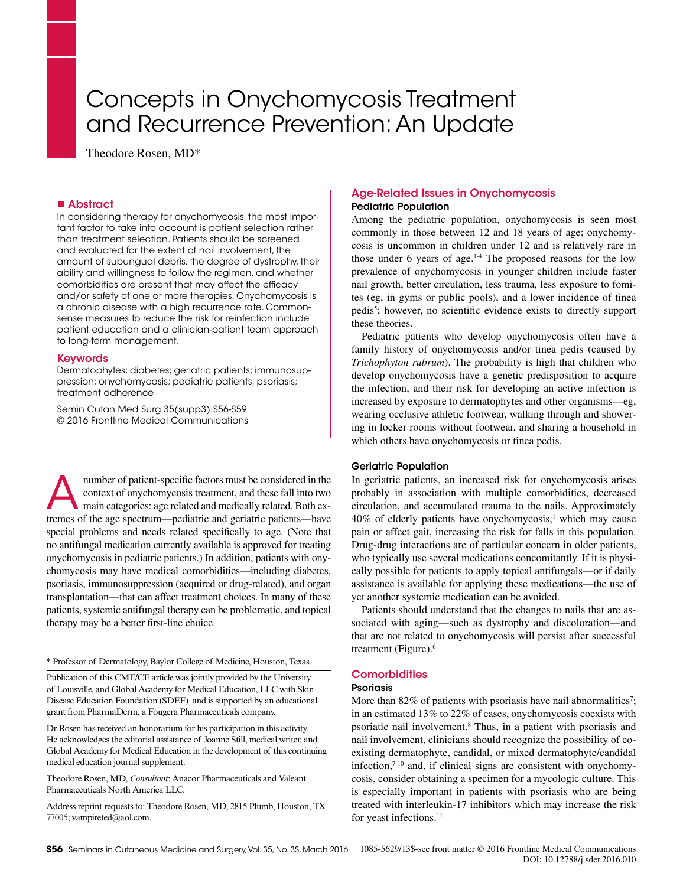# Concepts in Onychomycosis Treatment and Recurrence Prevention: An Update

Theodore Rosen, MD\*

#### ■ Abstract

In considering therapy for onychomycosis, the most important factor to take into account is patient selection rather than treatment selection. Patients should be screened and evaluated for the extent of nail involvement, the amount of subungual debris, the degree of dystrophy, their ability and willingness to follow the regimen, and whether comorbidities are present that may affect the efficacy and/or safety of one or more therapies. Onychomycosis is a chronic disease with a high recurrence rate. Commonsense measures to reduce the risk for reinfection include patient education and a clinician-patient team approach to long-term management.

#### Keywords

Dermatophytes; diabetes; geriatric patients; immunosuppression; onychomycosis; pediatric patients; psoriasis; treatment adherence

Semin Cutan Med Surg 35(supp3):S56-S59 © 2016 Frontline Medical Communications

number of patient-specific factors must be considered in the context of onychomycosis treatment, and these fall into two main categories: age related and medically related. Both excontext of onychomycosis treatment, and these fall into two tremes of the age spectrum—pediatric and geriatric patients—have special problems and needs related specifically to age. (Note that no antifungal medication currently available is approved for treating onychomycosis in pediatric patients.) In addition, patients with onychomycosis may have medical comorbidities—including diabetes, psoriasis, immunosuppression (acquired or drug-related), and organ transplantation—that can affect treatment choices. In many of these patients, systemic antifungal therapy can be problematic, and topical therapy may be a better first-line choice.

\* Professor of Dermatology, Baylor College of Medicine, Houston, Texas.

Publication of this CME/CE article was jointly provided by the University of Louisville, and Global Academy for Medical Education, LLC with Skin Disease Education Foundation (SDEF) and is supported by an educational grant from PharmaDerm, a Fougera Pharmaceuticals company.

Dr Rosen has received an honorarium for his participation in this activity. He acknowledges the editorial assistance of Joanne Still, medical writer, and Global Academy for Medical Education in the development of this continuing medical education journal supplement.

Theodore Rosen, MD, *Consultant*: Anacor Pharmaceuticals and Valeant Pharmaceuticals North America LLC.

Address reprint requests to: Theodore Rosen, MD, 2815 Plumb, Houston, TX 77005; vampireted@aol.com.

#### Age-Related Issues in Onychomycosis Pediatric Population

Among the pediatric population, onychomycosis is seen most commonly in those between 12 and 18 years of age; onychomycosis is uncommon in children under 12 and is relatively rare in those under 6 years of age.<sup>1-4</sup> The proposed reasons for the low prevalence of onychomycosis in younger children include faster nail growth, better circulation, less trauma, less exposure to fomites (eg, in gyms or public pools), and a lower incidence of tinea pedis5 ; however, no scientific evidence exists to directly support these theories.

Pediatric patients who develop onychomycosis often have a family history of onychomycosis and/or tinea pedis (caused by *Trichophyton rubrum*). The probability is high that children who develop onychomycosis have a genetic predisposition to acquire the infection, and their risk for developing an active infection is increased by exposure to dermatophytes and other organisms—eg, wearing occlusive athletic footwear, walking through and showering in locker rooms without footwear, and sharing a household in which others have onychomycosis or tinea pedis.

#### Geriatric Population

In geriatric patients, an increased risk for onychomycosis arises probably in association with multiple comorbidities, decreased circulation, and accumulated trauma to the nails. Approximately  $40\%$  of elderly patients have onychomycosis,<sup>1</sup> which may cause pain or affect gait, increasing the risk for falls in this population. Drug-drug interactions are of particular concern in older patients, who typically use several medications concomitantly. If it is physically possible for patients to apply topical antifungals—or if daily assistance is available for applying these medications—the use of yet another systemic medication can be avoided.

Patients should understand that the changes to nails that are associated with aging—such as dystrophy and discoloration—and that are not related to onychomycosis will persist after successful treatment (Figure).6

#### **Comorbidities**

#### **Psoriasis**

More than  $82\%$  of patients with psoriasis have nail abnormalities<sup>7</sup>; in an estimated 13% to 22% of cases, onychomycosis coexists with psoriatic nail involvement.8 Thus, in a patient with psoriasis and nail involvement, clinicians should recognize the possibility of coexisting dermatophyte, candidal, or mixed dermatophyte/candidal infection,7-10 and, if clinical signs are consistent with onychomycosis, consider obtaining a specimen for a mycologic culture. This is especially important in patients with psoriasis who are being treated with interleukin-17 inhibitors which may increase the risk for yeast infections.<sup>11</sup>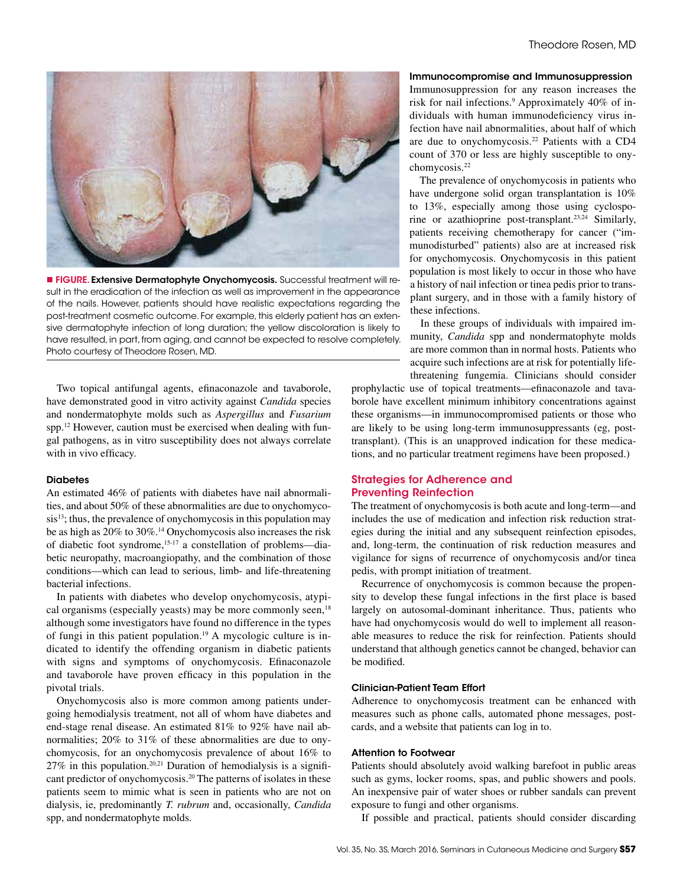

**FIGURE. Extensive Dermatophyte Onychomycosis.** Successful treatment will result in the eradication of the infection as well as improvement in the appearance of the nails. However, patients should have realistic expectations regarding the post-treatment cosmetic outcome. For example, this elderly patient has an extensive dermatophyte infection of long duration; the yellow discoloration is likely to have resulted, in part, from aging, and cannot be expected to resolve completely. Photo courtesy of Theodore Rosen, MD.

Two topical antifungal agents, efinaconazole and tavaborole, have demonstrated good in vitro activity against *Candida* species and nondermatophyte molds such as *Aspergillus* and *Fusarium*  spp.<sup>12</sup> However, caution must be exercised when dealing with fungal pathogens, as in vitro susceptibility does not always correlate with in vivo efficacy.

#### **Diabetes**

An estimated 46% of patients with diabetes have nail abnormalities, and about 50% of these abnormalities are due to onychomyco $sis<sup>13</sup>$ ; thus, the prevalence of onychomycosis in this population may be as high as 20% to 30%.14 Onychomycosis also increases the risk of diabetic foot syndrome,15-17 a constellation of problems—diabetic neuropathy, macroangiopathy, and the combination of those conditions—which can lead to serious, limb- and life-threatening bacterial infections.

In patients with diabetes who develop onychomycosis, atypical organisms (especially yeasts) may be more commonly seen,<sup>18</sup> although some investigators have found no difference in the types of fungi in this patient population.19 A mycologic culture is indicated to identify the offending organism in diabetic patients with signs and symptoms of onychomycosis. Efinaconazole and tavaborole have proven efficacy in this population in the pivotal trials.

Onychomycosis also is more common among patients undergoing hemodialysis treatment, not all of whom have diabetes and end-stage renal disease. An estimated 81% to 92% have nail abnormalities; 20% to 31% of these abnormalities are due to onychomycosis, for an onychomycosis prevalence of about 16% to  $27\%$  in this population.<sup>20,21</sup> Duration of hemodialysis is a significant predictor of onychomycosis.20 The patterns of isolates in these patients seem to mimic what is seen in patients who are not on dialysis, ie, predominantly *T. rubrum* and, occasionally, *Candida*  spp, and nondermatophyte molds.

#### Immunocompromise and Immunosuppression

Immunosuppression for any reason increases the risk for nail infections.9 Approximately 40% of individuals with human immunodeficiency virus infection have nail abnormalities, about half of which are due to onychomycosis.22 Patients with a CD4 count of 370 or less are highly susceptible to onychomycosis.22

The prevalence of onychomycosis in patients who have undergone solid organ transplantation is 10% to 13%, especially among those using cyclosporine or azathioprine post-transplant.23,24 Similarly, patients receiving chemotherapy for cancer ("immunodisturbed" patients) also are at increased risk for onychomycosis. Onychomycosis in this patient population is most likely to occur in those who have a history of nail infection or tinea pedis prior to transplant surgery, and in those with a family history of these infections.

In these groups of individuals with impaired immunity, *Candida* spp and nondermatophyte molds are more common than in normal hosts. Patients who acquire such infections are at risk for potentially lifethreatening fungemia. Clinicians should consider

prophylactic use of topical treatments—efinaconazole and tavaborole have excellent minimum inhibitory concentrations against these organisms—in immunocompromised patients or those who are likely to be using long-term immunosuppressants (eg, posttransplant). (This is an unapproved indication for these medications, and no particular treatment regimens have been proposed.)

#### Strategies for Adherence and Preventing Reinfection

The treatment of onychomycosis is both acute and long-term—and includes the use of medication and infection risk reduction strategies during the initial and any subsequent reinfection episodes, and, long-term, the continuation of risk reduction measures and vigilance for signs of recurrence of onychomycosis and/or tinea pedis, with prompt initiation of treatment.

Recurrence of onychomycosis is common because the propensity to develop these fungal infections in the first place is based largely on autosomal-dominant inheritance. Thus, patients who have had onychomycosis would do well to implement all reasonable measures to reduce the risk for reinfection. Patients should understand that although genetics cannot be changed, behavior can be modified.

#### Clinician-Patient Team Effort

Adherence to onychomycosis treatment can be enhanced with measures such as phone calls, automated phone messages, postcards, and a website that patients can log in to.

#### Attention to Footwear

Patients should absolutely avoid walking barefoot in public areas such as gyms, locker rooms, spas, and public showers and pools. An inexpensive pair of water shoes or rubber sandals can prevent exposure to fungi and other organisms.

If possible and practical, patients should consider discarding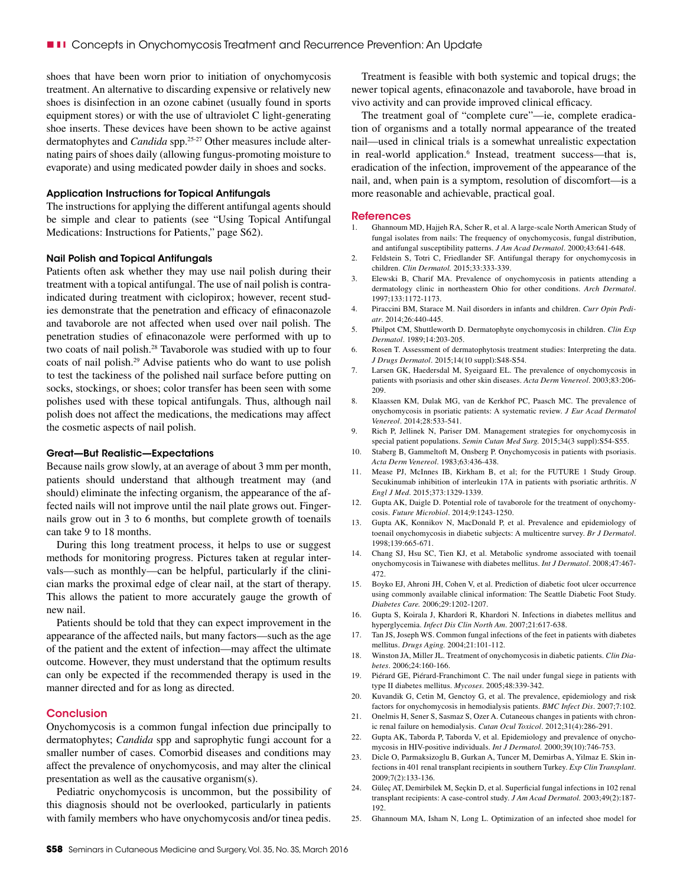shoes that have been worn prior to initiation of onychomycosis treatment. An alternative to discarding expensive or relatively new shoes is disinfection in an ozone cabinet (usually found in sports equipment stores) or with the use of ultraviolet C light-generating shoe inserts. These devices have been shown to be active against dermatophytes and *Candida* spp.<sup>25-27</sup> Other measures include alternating pairs of shoes daily (allowing fungus-promoting moisture to evaporate) and using medicated powder daily in shoes and socks.

#### Application Instructions for Topical Antifungals

The instructions for applying the different antifungal agents should be simple and clear to patients (see "Using Topical Antifungal Medications: Instructions for Patients," page S62).

#### Nail Polish and Topical Antifungals

Patients often ask whether they may use nail polish during their treatment with a topical antifungal. The use of nail polish is contraindicated during treatment with ciclopirox; however, recent studies demonstrate that the penetration and efficacy of efinaconazole and tavaborole are not affected when used over nail polish. The penetration studies of efinaconazole were performed with up to two coats of nail polish.28 Tavaborole was studied with up to four coats of nail polish.29 Advise patients who do want to use polish to test the tackiness of the polished nail surface before putting on socks, stockings, or shoes; color transfer has been seen with some polishes used with these topical antifungals. Thus, although nail polish does not affect the medications, the medications may affect the cosmetic aspects of nail polish.

#### Great—But Realistic—Expectations

Because nails grow slowly, at an average of about 3 mm per month, patients should understand that although treatment may (and should) eliminate the infecting organism, the appearance of the affected nails will not improve until the nail plate grows out. Fingernails grow out in 3 to 6 months, but complete growth of toenails can take 9 to 18 months.

During this long treatment process, it helps to use or suggest methods for monitoring progress. Pictures taken at regular intervals—such as monthly—can be helpful, particularly if the clinician marks the proximal edge of clear nail, at the start of therapy. This allows the patient to more accurately gauge the growth of new nail.

Patients should be told that they can expect improvement in the appearance of the affected nails, but many factors—such as the age of the patient and the extent of infection—may affect the ultimate outcome. However, they must understand that the optimum results can only be expected if the recommended therapy is used in the manner directed and for as long as directed.

#### **Conclusion**

Onychomycosis is a common fungal infection due principally to dermatophytes; *Candida* spp and saprophytic fungi account for a smaller number of cases. Comorbid diseases and conditions may affect the prevalence of onychomycosis, and may alter the clinical presentation as well as the causative organism(s).

Pediatric onychomycosis is uncommon, but the possibility of this diagnosis should not be overlooked, particularly in patients with family members who have onychomycosis and/or tinea pedis.

Treatment is feasible with both systemic and topical drugs; the newer topical agents, efinaconazole and tavaborole, have broad in vivo activity and can provide improved clinical efficacy.

The treatment goal of "complete cure"—ie, complete eradication of organisms and a totally normal appearance of the treated nail—used in clinical trials is a somewhat unrealistic expectation in real-world application.<sup>6</sup> Instead, treatment success—that is, eradication of the infection, improvement of the appearance of the nail, and, when pain is a symptom, resolution of discomfort—is a more reasonable and achievable, practical goal.

# References

- 1. Ghannoum MD, Hajjeh RA, Scher R, et al. A large-scale North American Study of fungal isolates from nails: The frequency of onychomycosis, fungal distribution, and antifungal susceptibility patterns. *J Am Acad Dermatol*. 2000;43:641-648.
- 2. Feldstein S, Totri C, Friedlander SF. Antifungal therapy for onychomycosis in children. *Clin Dermatol.* 2015;33:333-339.
- 3. Elewski B, Charif MA. Prevalence of onychomycosis in patients attending a dermatology clinic in northeastern Ohio for other conditions. *Arch Dermatol*. 1997;133:1172-1173.
- 4. Piraccini BM, Starace M. Nail disorders in infants and children. *Curr Opin Pediatr*. 2014;26:440-445.
- 5. Philpot CM, Shuttleworth D. Dermatophyte onychomycosis in children. *Clin Exp Dermatol*. 1989;14:203-205.
- 6. Rosen T. Assessment of dermatophytosis treatment studies: Interpreting the data. *J Drugs Dermatol*. 2015;14(10 suppl):S48-S54.
- 7. Larsen GK, Haedersdal M, Syeigaard EL. The prevalence of onychomycosis in patients with psoriasis and other skin diseases. *Acta Derm Venereol*. 2003;83:206- 209.
- 8. Klaassen KM, Dulak MG, van de Kerkhof PC, Paasch MC. The prevalence of onychomycosis in psoriatic patients: A systematic review. *J Eur Acad Dermatol Venereol*. 2014;28:533-541.
- 9. Rich P, Jellinek N, Pariser DM. Management strategies for onychomycosis in special patient populations. *Semin Cutan Med Surg.* 2015;34(3 suppl):S54-S55.
- 10. Staberg B, Gammeltoft M, Onsberg P. Onychomycosis in patients with psoriasis. *Acta Derm Venereol*. 1983;63:436-438.
- 11. Mease PJ, McInnes IB, Kirkham B, et al; for the FUTURE 1 Study Group. Secukinumab inhibition of interleukin 17A in patients with psoriatic arthritis. *N Engl J Med*. 2015;373:1329-1339.
- 12. Gupta AK, Daigle D. Potential role of tavaborole for the treatment of onychomycosis. *Future Microbiol*. 2014;9:1243-1250.
- 13. Gupta AK, Konnikov N, MacDonald P, et al. Prevalence and epidemiology of toenail onychomycosis in diabetic subjects: A multicentre survey. *Br J Dermatol*. 1998;139:665-671.
- 14. Chang SJ, Hsu SC, Tien KJ, et al. Metabolic syndrome associated with toenail onychomycosis in Taiwanese with diabetes mellitus. *Int J Dermatol*. 2008;47:467- 472.
- 15. Boyko EJ, Ahroni JH, Cohen V, et al. Prediction of diabetic foot ulcer occurrence using commonly available clinical information: The Seattle Diabetic Foot Study. *Diabetes Care.* 2006;29:1202-1207.
- 16. Gupta S, Koirala J, Khardori R, Khardori N. Infections in diabetes mellitus and hyperglycemia. *Infect Dis Clin North Am*. 2007;21:617-638.
- 17. Tan JS, Joseph WS. Common fungal infections of the feet in patients with diabetes mellitus. *Drugs Aging.* 2004;21:101-112.
- 18. Winston JA, Miller JL. Treatment of onychomycosis in diabetic patients. *Clin Diabetes*. 2006;24:160-166.
- 19. Piérard GE, Piérard-Franchimont C. The nail under fungal siege in patients with type II diabetes mellitus. *Mycoses*. 2005;48:339-342.
- 20. Kuvandik G, Cetin M, Genctoy G, et al. The prevalence, epidemiology and risk factors for onychomycosis in hemodialysis patients. *BMC Infect Dis*. 2007;7:102.
- 21. Onelmis H, Sener S, Sasmaz S, Ozer A. Cutaneous changes in patients with chronic renal failure on hemodialysis. *Cutan Ocul Toxicol*. 2012;31(4):286-291.
- 22. Gupta AK, Taborda P, Taborda V, et al. Epidemiology and prevalence of onychomycosis in HIV-positive individuals. *Int J Dermatol.* 2000;39(10):746-753.
- 23. Dicle O, Parmaksizoglu B, Gurkan A, Tuncer M, Demirbas A, Yilmaz E. Skin infections in 401 renal transplant recipients in southern Turkey. *Exp Clin Transplant*. 2009;7(2):133-136.
- 24. Güleç AT, Demirbilek M, Seçkin D, et al. Superficial fungal infections in 102 renal transplant recipients: A case-control study. *J Am Acad Dermatol.* 2003;49(2):187- 192.
- 25. Ghannoum MA, Isham N, Long L. Optimization of an infected shoe model for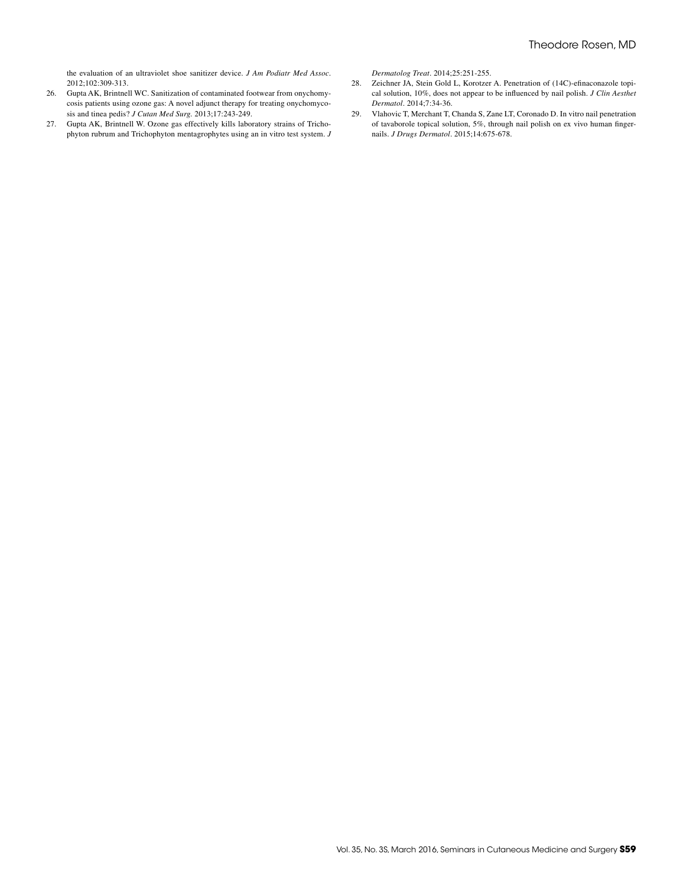the evaluation of an ultraviolet shoe sanitizer device. *J Am Podiatr Med Assoc*. 2012;102:309-313.

- 26. Gupta AK, Brintnell WC. Sanitization of contaminated footwear from onychomycosis patients using ozone gas: A novel adjunct therapy for treating onychomycosis and tinea pedis? *J Cutan Med Surg.* 2013;17:243-249.
- 27. Gupta AK, Brintnell W. Ozone gas effectively kills laboratory strains of Trichophyton rubrum and Trichophyton mentagrophytes using an in vitro test system. *J*

*Dermatolog Treat*. 2014;25:251-255.

- 28. Zeichner JA, Stein Gold L, Korotzer A. Penetration of (14C)-efinaconazole topical solution, 10%, does not appear to be influenced by nail polish. *J Clin Aesthet Dermatol*. 2014;7:34-36.
- 29. Vlahovic T, Merchant T, Chanda S, Zane LT, Coronado D. In vitro nail penetration of tavaborole topical solution, 5%, through nail polish on ex vivo human fingernails. *J Drugs Dermatol*. 2015;14:675-678.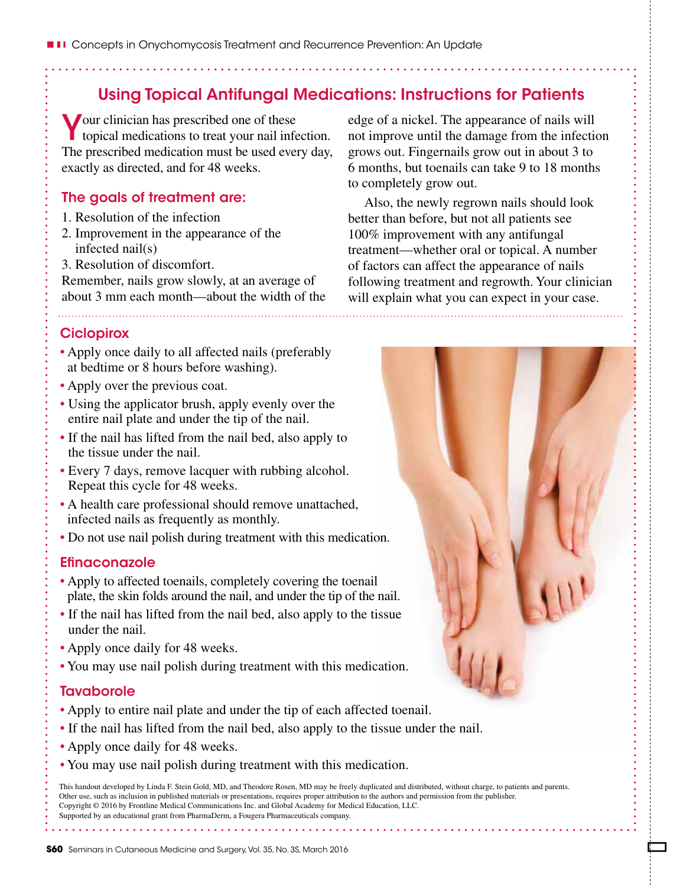# Using Topical Antifungal Medications: Instructions for Patients

Your clinician has prescribed one of these topical medications to treat your nail infection. The prescribed medication must be used every day, exactly as directed, and for 48 weeks.

## The goals of treatment are:

- 1. Resolution of the infection
- 2. Improvement in the appearance of the infected nail(s)
- 3. Resolution of discomfort.
- Remember, nails grow slowly, at an average of about 3 mm each month—about the width of the

## **Ciclopirox**

- Apply once daily to all affected nails (preferably at bedtime or 8 hours before washing).
- Apply over the previous coat.
- Using the applicator brush, apply evenly over the entire nail plate and under the tip of the nail.
- If the nail has lifted from the nail bed, also apply to the tissue under the nail.
- Every 7 days, remove lacquer with rubbing alcohol. Repeat this cycle for 48 weeks.
- A health care professional should remove unattached, infected nails as frequently as monthly.
- Do not use nail polish during treatment with this medication.

## Efinaconazole

- Apply to affected toenails, completely covering the toenail plate, the skin folds around the nail, and under the tip of the nail.
- If the nail has lifted from the nail bed, also apply to the tissue under the nail.
- Apply once daily for 48 weeks.
- You may use nail polish during treatment with this medication.

## **Tavaborole**

- Apply to entire nail plate and under the tip of each affected toenail.
- If the nail has lifted from the nail bed, also apply to the tissue under the nail.
- Apply once daily for 48 weeks.
- You may use nail polish during treatment with this medication.

This handout developed by Linda F. Stein Gold, MD, and Theodore Rosen, MD may be freely duplicated and distributed, without charge, to patients and parents. Other use, such as inclusion in published materials or presentations, requires proper attribution to the authors and permission from the publisher.

Copyright © 2016 by Frontline Medical Communications Inc. and Global Academy for Medical Education, LLC.

Supported by an educational grant from PharmaDerm, a Fougera Pharmaceuticals company.

edge of a nickel. The appearance of nails will not improve until the damage from the infection grows out. Fingernails grow out in about 3 to 6 months, but toenails can take 9 to 18 months to completely grow out.

 Also, the newly regrown nails should look better than before, but not all patients see 100% improvement with any antifungal treatment—whether oral or topical. A number of factors can affect the appearance of nails following treatment and regrowth. Your clinician will explain what you can expect in your case.



✃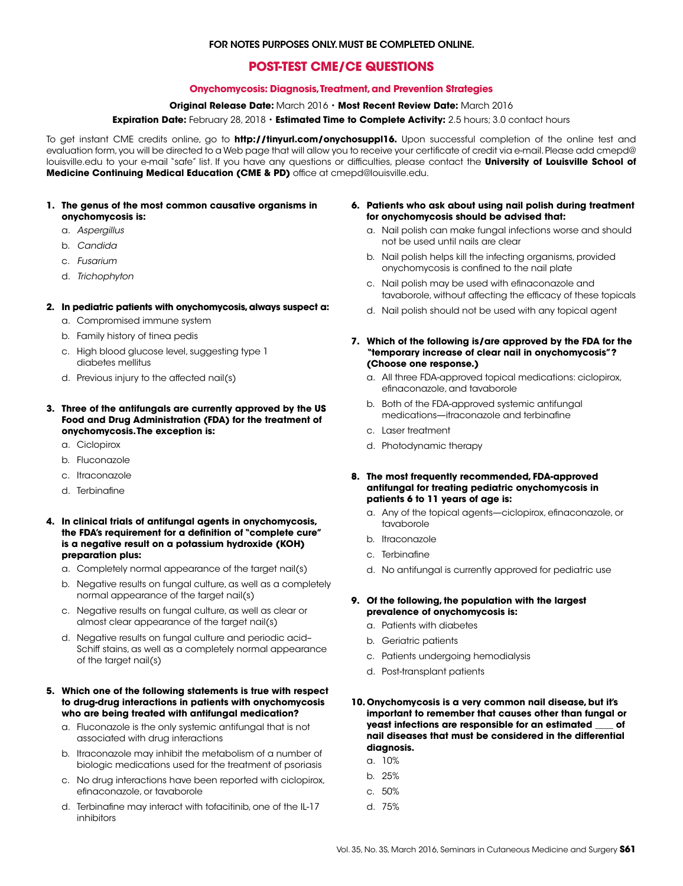#### FOR NOTES PURPOSES ONLY. MUST BE COMPLETED ONLINE.

### **POST-TEST CME/CE QUESTIONS**

#### **Onychomycosis: Diagnosis, Treatment, and Prevention Strategies**

#### **Original Release Date:** March 2016 • **Most Recent Review Date:** March 2016

#### **Expiration Date:** February 28, 2018 • **Estimated Time to Complete Activity:** 2.5 hours; 3.0 contact hours

To get instant CME credits online, go to **http://tinyurl.com/onychosuppl16.** Upon successful completion of the online test and evaluation form, you will be directed to a Web page that will allow you to receive your certificate of credit via e-mail. Please add cmepd@ louisville.edu to your e-mail "safe" list. If you have any questions or difficulties, please contact the **University of Louisville School of Medicine Continuing Medical Education (CME & PD)** office at cmepd@louisville.edu.

#### **1. The genus of the most common causative organisms in onychomycosis is:**

- a. *Aspergillus*
- b. *Candida*
- c. *Fusarium*
- d. *Trichophyton*

#### **2. In pediatric patients with onychomycosis, always suspect a:**

- a. Compromised immune system
- b. Family history of tinea pedis
- c. High blood glucose level, suggesting type 1 diabetes mellitus
- d. Previous injury to the affected nail(s)

#### **3. Three of the antifungals are currently approved by the US Food and Drug Administration (FDA) for the treatment of onychomycosis. The exception is:**

- a. Ciclopirox
- b. Fluconazole
- c. Itraconazole
- d. Terbinafine
- **4. In clinical trials of antifungal agents in onychomycosis, the FDA's requirement for a definition of "complete cure" is a negative result on a potassium hydroxide (KOH) preparation plus:**
	- a. Completely normal appearance of the target nail(s)
	- b. Negative results on fungal culture, as well as a completely normal appearance of the target nail(s)
	- c. Negative results on fungal culture, as well as clear or almost clear appearance of the target nail(s)
	- d. Negative results on fungal culture and periodic acid– Schiff stains, as well as a completely normal appearance of the target nail(s)

#### **5. Which one of the following statements is true with respect to drug-drug interactions in patients with onychomycosis who are being treated with antifungal medication?**

- a. Fluconazole is the only systemic antifungal that is not associated with drug interactions
- b. Itraconazole may inhibit the metabolism of a number of biologic medications used for the treatment of psoriasis
- c. No drug interactions have been reported with ciclopirox, efinaconazole, or tavaborole
- d. Terbinafine may interact with tofacitinib, one of the IL-17 inhibitors

#### **6. Patients who ask about using nail polish during treatment for onychomycosis should be advised that:**

- a. Nail polish can make fungal infections worse and should not be used until nails are clear
- b. Nail polish helps kill the infecting organisms, provided onychomycosis is confined to the nail plate
- c. Nail polish may be used with efinaconazole and tavaborole, without affecting the efficacy of these topicals
- d. Nail polish should not be used with any topical agent
- **7. Which of the following is/are approved by the FDA for the "temporary increase of clear nail in onychomycosis"? (Choose one response.)**
	- a. All three FDA-approved topical medications: ciclopirox, efinaconazole, and tavaborole
	- b. Both of the FDA-approved systemic antifungal medications—itraconazole and terbinafine
	- c. Laser treatment
	- d. Photodynamic therapy
- **8. The most frequently recommended, FDA-approved antifungal for treating pediatric onychomycosis in patients 6 to 11 years of age is:**
	- a. Any of the topical agents—ciclopirox, efinaconazole, or tavaborole
	- b. Itraconazole
	- c. Terbinafine
	- d. No antifungal is currently approved for pediatric use
- **9. Of the following, the population with the largest prevalence of onychomycosis is:**
	- a. Patients with diabetes
	- b. Geriatric patients
	- c. Patients undergoing hemodialysis
	- d. Post-transplant patients
- **10. Onychomycosis is a very common nail disease, but it's important to remember that causes other than fungal or yeast infections are responsible for an estimated \_\_\_\_ of nail diseases that must be considered in the differential diagnosis.**
	- a. 10%
	- b. 25%
	- c. 50%
	- d. 75%